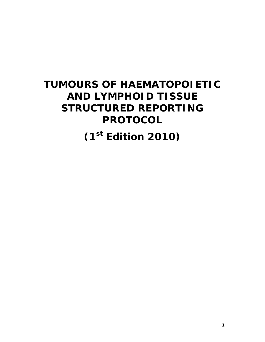# **TUMOURS OF HAEMATOPOIETIC AND LYMPHOID TISSUE STRUCTURED REPORTING PROTOCOL**

**(1st Edition 2010)**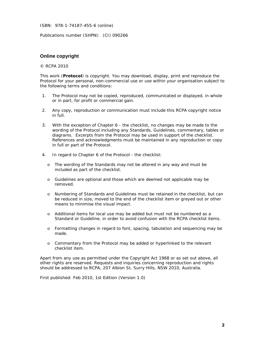ISBN: 978-1-74187-455-6 (online)

Publications number (SHPN): (CI) 090266

### **Online copyright**

#### © RCPA 2010

This work (**Protocol**) is copyright. You may download, display, print and reproduce the Protocol for your personal, non-commercial use or use within your organisation subject to the following terms and conditions:

- 1. The Protocol may not be copied, reproduced, communicated or displayed, in whole or in part, for profit or commercial gain.
- 2. Any copy, reproduction or communication must include this RCPA copyright notice in full.
- 3. With the exception of Chapter 6 the checklist, no changes may be made to the wording of the Protocol including any Standards, Guidelines, commentary, tables or diagrams. Excerpts from the Protocol may be used in support of the checklist. References and acknowledgments must be maintained in any reproduction or copy in full or part of the Protocol.
- 4. In regard to Chapter 6 of the Protocol the checklist:
	- o The wording of the Standards may not be altered in any way and must be included as part of the checklist.
	- o Guidelines are optional and those which are deemed not applicable may be removed.
	- o Numbering of Standards and Guidelines must be retained in the checklist, but can be reduced in size, moved to the end of the checklist item or greyed out or other means to minimise the visual impact.
	- o Additional items for local use may be added but must not be numbered as a Standard or Guideline, in order to avoid confusion with the RCPA checklist items.
	- o Formatting changes in regard to font, spacing, tabulation and sequencing may be made.
	- o Commentary from the Protocol may be added or hyperlinked to the relevant checklist item.

Apart from any use as permitted under the Copyright Act 1968 or as set out above, all other rights are reserved. Requests and inquiries concerning reproduction and rights should be addressed to RCPA, 207 Albion St, Surry Hills, NSW 2010, Australia.

First published: Feb 2010, 1st Edition (Version 1.0)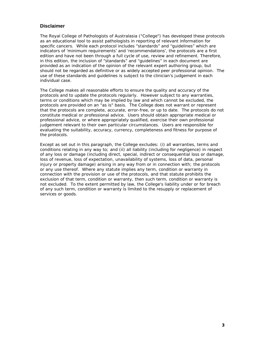### **Disclaimer**

The Royal College of Pathologists of Australasia ("College") has developed these protocols as an educational tool to assist pathologists in reporting of relevant information for specific cancers. While each protocol includes "standards" and "guidelines" which are indicators of 'minimum requirements' and 'recommendations', the protocols are a first edition and have not been through a full cycle of use, review and refinement. Therefore, in this edition, the inclusion of "standards" and "guidelines" in each document are provided as an indication of the opinion of the relevant expert authoring group, but should not be regarded as definitive or as widely accepted peer professional opinion. The use of these standards and guidelines is subject to the clinician's judgement in each individual case.

The College makes all reasonable efforts to ensure the quality and accuracy of the protocols and to update the protocols regularly. However subject to any warranties, terms or conditions which may be implied by law and which cannot be excluded, the protocols are provided on an "as is" basis. The College does not warrant or represent that the protocols are complete, accurate, error-free, or up to date. The protocols do not constitute medical or professional advice. Users should obtain appropriate medical or professional advice, or where appropriately qualified, exercise their own professional judgement relevant to their own particular circumstances. Users are responsible for evaluating the suitability, accuracy, currency, completeness and fitness for purpose of the protocols.

Except as set out in this paragraph, the College excludes: (i) all warranties, terms and conditions relating in any way to; and (ii) all liability (including for negligence) in respect of any loss or damage (including direct, special, indirect or consequential loss or damage, loss of revenue, loss of expectation, unavailability of systems, loss of data, personal injury or property damage) arising in any way from or in connection with; the protocols or any use thereof. Where any statute implies any term, condition or warranty in connection with the provision or use of the protocols, and that statute prohibits the exclusion of that term, condition or warranty, then such term, condition or warranty is not excluded. To the extent permitted by law, the College's liability under or for breach of any such term, condition or warranty is limited to the resupply or replacement of services or goods.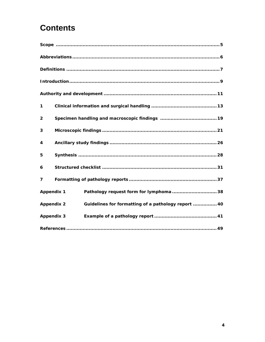# **Contents**

| 1                 |                                                     |
|-------------------|-----------------------------------------------------|
| $\overline{2}$    |                                                     |
| 3                 |                                                     |
| 4                 |                                                     |
| 5                 |                                                     |
| 6                 |                                                     |
| 7                 |                                                     |
| <b>Appendix 1</b> | Pathology request form for lymphoma  38             |
| <b>Appendix 2</b> | Guidelines for formatting of a pathology report  40 |
| <b>Appendix 3</b> |                                                     |
|                   |                                                     |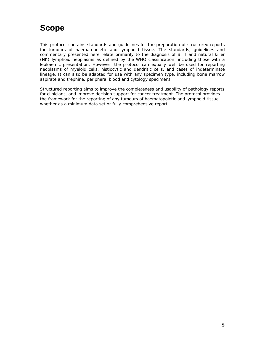# **Scope**

This protocol contains standards and guidelines for the preparation of structured reports for tumours of haematopoietic and lymphoid tissue. The standards, guidelines and commentary presented here relate primarily to the diagnosis of B, T and natural killer (NK) lymphoid neoplasms as defined by the WHO classification, including those with a leukaemic presentation. However, the protocol can equally well be used for reporting neoplasms of myeloid cells, histiocytic and dendritic cells, and cases of indeterminate lineage. It can also be adapted for use with any specimen type, including bone marrow aspirate and trephine, peripheral blood and cytology specimens.

Structured reporting aims to improve the completeness and usability of pathology reports for clinicians, and improve decision support for cancer treatment. The protocol provides the framework for the reporting of any tumours of haematopoietic and lymphoid tissue, whether as a minimum data set or fully comprehensive report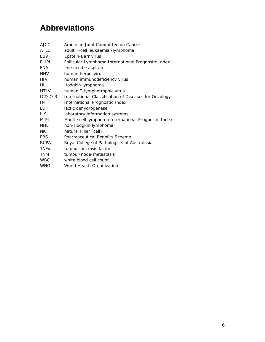# **Abbreviations**

| <b>AJCC</b> | American Joint Committee on Cancer                    |
|-------------|-------------------------------------------------------|
| ATLL        | adult T-cell leukaemia /lymphoma                      |
| EBV         | Epstein-Barr virus                                    |
| FLIPI       | Follicular Lymphoma International Prognostic Index    |
| <b>FNA</b>  | fine needle aspirate                                  |
| HHV         | human herpesvirus                                     |
| <b>HIV</b>  | human immunodeficiency virus                          |
| HL          | Hodgkin lymphoma                                      |
| <b>HTLV</b> | human T-lymphotrophic virus                           |
| $ICD-O-3$   | International Classification of Diseases for Oncology |
| IPI         | International Prognostic Index                        |
| LDH         | lactic dehydrogenase                                  |
| <b>LIS</b>  | laboratory information systems                        |
| MIPI        | Mantle cell lymphoma International Prognostic Index   |
| <b>NHL</b>  | non-Hodgkin lymphoma                                  |
| NΚ          | natural killer [cell]                                 |
| <b>PBS</b>  | <b>Pharmaceutical Benefits Scheme</b>                 |
| <b>RCPA</b> | Royal College of Pathologists of Australasia          |
| $TNF\alpha$ | tumour necrosis factor                                |
| <b>TNM</b>  | tumour-node-metastasis                                |
| <b>WBC</b>  | white blood cell count                                |
| <b>WHO</b>  | World Health Organization                             |
|             |                                                       |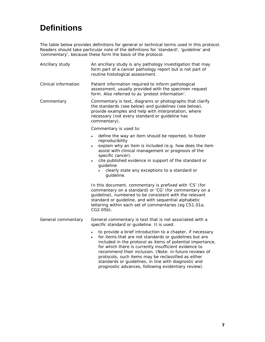# **Definitions**

The table below provides definitions for general or technical terms used in this protocol. Readers should take particular note of the definitions for 'standard', 'guideline' and 'commentary', because these form the basis of the protocol.

| Ancillary study      | An ancillary study is any pathology investigation that may<br>form part of a cancer pathology report but is not part of<br>routine histological assessment.                                                                                                                                                                                                                                                          |  |
|----------------------|----------------------------------------------------------------------------------------------------------------------------------------------------------------------------------------------------------------------------------------------------------------------------------------------------------------------------------------------------------------------------------------------------------------------|--|
| Clinical information | Patient information required to inform pathological<br>assessment, usually provided with the specimen request<br>form. Also referred to as 'pretest information'.                                                                                                                                                                                                                                                    |  |
| Commentary           | Commentary is text, diagrams or photographs that clarify<br>the standards (see below) and guidelines (see below),<br>provide examples and help with interpretation, where<br>necessary (not every standard or guideline has<br>commentary).                                                                                                                                                                          |  |
|                      | Commentary is used to:                                                                                                                                                                                                                                                                                                                                                                                               |  |
|                      | define the way an item should be reported, to foster<br>$\bullet$<br>reproducibility<br>explain why an item is included (e.g. how does the item<br>$\bullet$                                                                                                                                                                                                                                                         |  |
|                      | assist with clinical management or prognosis of the<br>specific cancer).                                                                                                                                                                                                                                                                                                                                             |  |
|                      | cite published evidence in support of the standard or<br>$\bullet$<br>guideline                                                                                                                                                                                                                                                                                                                                      |  |
|                      | clearly state any exceptions to a standard or<br>guideline.                                                                                                                                                                                                                                                                                                                                                          |  |
|                      | In this document, commentary is prefixed with 'CS' (for<br>commentary on a standard) or 'CG' (for commentary on a<br>guideline), numbered to be consistent with the relevant<br>standard or guideline, and with sequential alphabetic<br>lettering within each set of commentaries (eg CS1.01a,<br>CG2.05b).                                                                                                         |  |
| General commentary   | General commentary is text that is not associated with a<br>specific standard or guideline. It is used:                                                                                                                                                                                                                                                                                                              |  |
|                      | to provide a brief introduction to a chapter, if necessary<br>for items that are not standards or guidelines but are<br>included in the protocol as items of potential importance,<br>for which there is currently insufficient evidence to<br>recommend their inclusion. (Note: in future reviews of<br>protocols, such items may be reclassified as either<br>standards or quidelines, in line with diagnostic and |  |

prognostic advances, following evidentiary review).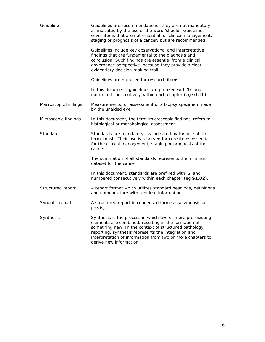| Guideline            | Guidelines are recommendations; they are not mandatory,<br>as indicated by the use of the word 'should'. Guidelines<br>cover items that are not essential for clinical management,<br>staging or prognosis of a cancer, but are recommended.                                                                               |  |
|----------------------|----------------------------------------------------------------------------------------------------------------------------------------------------------------------------------------------------------------------------------------------------------------------------------------------------------------------------|--|
|                      | Guidelines include key observational and interpretative<br>findings that are fundamental to the diagnosis and<br>conclusion. Such findings are essential from a clinical<br>governance perspective, because they provide a clear,<br>evidentiary decision-making trail.                                                    |  |
|                      | Guidelines are not used for research items.                                                                                                                                                                                                                                                                                |  |
|                      | In this document, guidelines are prefixed with 'G' and<br>numbered consecutively within each chapter (eg G1.10).                                                                                                                                                                                                           |  |
| Macroscopic findings | Measurements, or assessment of a biopsy specimen made<br>by the unaided eye.                                                                                                                                                                                                                                               |  |
| Microscopic findings | In this document, the term 'microscopic findings' refers to<br>histological or morphological assessment.                                                                                                                                                                                                                   |  |
| Standard             | Standards are mandatory, as indicated by the use of the<br>term 'must'. Their use is reserved for core items essential<br>for the clinical management, staging or prognosis of the<br>cancer.                                                                                                                              |  |
|                      | The summation of all standards represents the minimum<br>dataset for the cancer.                                                                                                                                                                                                                                           |  |
|                      | In this document, standards are prefixed with 'S' and<br>numbered consecutively within each chapter (eg S1.02).                                                                                                                                                                                                            |  |
| Structured report    | A report format which utilizes standard headings, definitions<br>and nomenclature with required information.                                                                                                                                                                                                               |  |
| Synoptic report      | A structured report in condensed form (as a synopsis or<br>precis).                                                                                                                                                                                                                                                        |  |
| Synthesis            | Synthesis is the process in which two or more pre-existing<br>elements are combined, resulting in the formation of<br>something new. In the context of structured pathology<br>reporting, synthesis represents the integration and<br>interpretation of information from two or more chapters to<br>derive new information |  |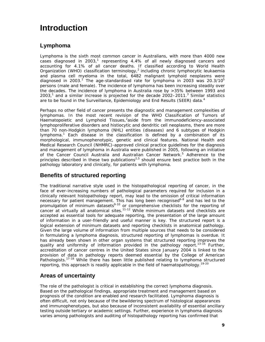# **Introduction**

# **Lymphoma**

Lymphoma is the sixth most common cancer in Australians, with more than 4000 new cases diagnosed in 2003,<sup>1</sup> representing 4.4% of all newly diagnosed cancers and accounting for 4.1% of all cancer deaths. If classified according to World Health Organization (WHO) classification terminology,<sup>2</sup> including chronic lymphocytic leukaemia and plasma cell myeloma in the total, 6482 malignant lymphoid neoplasms were diagnosed in 2003.<sup>1</sup> The age-standardised rate for lymphoma in 2003 was 20.3/10<sup>5</sup> persons (male and female). The incidence of lymphoma has been increasing steadily over the decades. The incidence of lymphoma in Australia rose by >35% between 1993 and 2003, $1$  and a similar increase is projected for the decade 2002–2011. $3$  Similar statistics are to be found in the Surveillance, Epidemiology and End Results (SEER) data.<sup>4</sup>

Perhaps no other field of cancer presents the diagnostic and management complexities of lymphomas. In the most recent revision of the WHO Classification of Tumors of Haematopoietic and Lymphoid Tissues,<sup>2</sup>aside from the immunodeficiency-associated lymphoproliferative disorders and histiocytic and dendritic cell neoplasms, there are more than 70 non-Hodgkin lymphoma (NHL) entities (diseases) and 6 subtypes of Hodgkin lymphoma.<sup>1</sup> Each disease in the classification is defined by a combination of its morphological, immunophenotypic, genetic and clinical features. National Health and Medical Research Council (NHMRC)-approved clinical practice guidelines for the diagnosis and management of lymphoma in Australia were published in 2005, following an initiative of the Cancer Council Australia and Australian Cancer Network.<sup>5</sup> Adherence to the principles described in these two publications<sup>2,5</sup> should ensure best practice both in the pathology laboratory and clinically, for patients with lymphoma.

# **Benefits of structured reporting**

The traditional narrative style used in the histopathological reporting of cancer, in the face of ever-increasing numbers of pathological parameters required for inclusion in a clinically relevant histopathology report, may lead to the omission of critical information necessary for patient management. This has long been recognised<sup>6-8</sup> and has led to the promulgation of minimum datasets<sup>9-10</sup> or comprehensive checklists for the reporting of cancer at virtually all anatomical sites.<sup>11-12</sup> While minimum datasets and checklists are accepted as essential tools for adequate reporting, the presentation of the large amount of information in a user-friendly and useful manner is key. The structured report is a logical extension of minimum datasets and reporting checklists in anatomical pathology. Given the large volume of information from multiple sources that needs to be considered in formulating a lymphoma diagnosis, structured reporting of lymphomas is overdue. It has already been shown in other organ systems that structured reporting improves the quality and uniformity of information provided in the pathology report.<sup>13-16</sup> Further, accreditation of cancer centres in the United States since January 2004 is linked to the provision of data in pathology reports deemed essential by the College of American Pathologists.17-18 While there has been little published relating to lymphoma structured reporting, this approach is readily applicable in the field of haematopathology.<sup>19-20</sup>

# **Areas of uncertainty**

The role of the pathologist is critical in establishing the correct lymphoma diagnosis. Based on the pathological findings, appropriate treatment and management based on prognosis of the condition are enabled and research facilitated. Lymphoma diagnosis is often difficult, not only because of the bewildering spectrum of histological appearances and immunophenotypes, but also because of inconsistent availability of essential ancillary testing outside tertiary or academic settings. Further, experience in lymphoma diagnosis varies among pathologists and auditing of histopathology reporting has confirmed that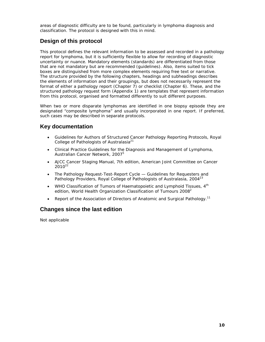areas of diagnostic difficulty are to be found, particularly in lymphoma diagnosis and classification. The protocol is designed with this in mind.

# **Design of this protocol**

This protocol defines the relevant information to be assessed and recorded in a pathology report for lymphoma, but it is sufficiently flexible to allow for recording of diagnostic uncertainty or nuance. Mandatory elements (standards) are differentiated from those that are not mandatory but are recommended (guidelines). Also, items suited to tick boxes are distinguished from more complex elements requiring free text or narrative. The structure provided by the following chapters, headings and subheadings describes the elements of information and their groupings, but does not necessarily represent the format of either a pathology report (Chapter 7) or checklist (Chapter 6). These, and the structured pathology request form (Appendix 1) are templates that represent information from this protocol, organised and formatted differently to suit different purposes.

When two or more disparate lymphomas are identified in one biopsy episode they are designated "composite lymphoma" and usually incorporated in one report. If preferred, such cases may be described in separate protocols.

# **Key documentation**

- *Guidelines for Authors of Structured Cancer Pathology Reporting Protocols, Royal College of Pathologists of Australasia*<sup>21</sup>
- *Clinical Practice Guidelines for the Diagnosis and Management of Lymphoma, Australian Cancer Network, 2007*<sup>5</sup>
- *AJCC Cancer Staging Manual*, 7th edition, American Joint Committee on Cancer  $2010^{22}$
- *The Pathology Request-Test-Report Cycle Guidelines for Requesters and Pathology Providers, Royal College of Pathologists of Australasia, 2004*<sup>23</sup>
- WHO Classification of Tumors of Haematopoietic and Lymphoid Tissues, 4<sup>th</sup> edition, World Health Organization Classification of Tumours 2008 $2$
- **•** Report of the Association of Directors of Anatomic and Surgical Pathology.<sup>11</sup>

# **Changes since the last edition**

Not applicable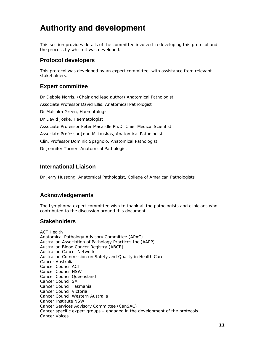# **Authority and development**

This section provides details of the committee involved in developing this protocol and the process by which it was developed.

# **Protocol developers**

This protocol was developed by an expert committee, with assistance from relevant stakeholders.

### **Expert committee**

Dr Debbie Norris, (Chair and lead author) Anatomical Pathologist Associate Professor David Ellis, Anatomical Pathologist Dr Malcolm Green, Haematologist Dr David Joske, Haematologist Associate Professor Peter Macardle Ph.D. Chief Medical Scientist Associate Professor John Miliauskas, Anatomical Pathologist Clin. Professor Dominic Spagnolo, Anatomical Pathologist Dr Jennifer Turner, Anatomical Pathologist

### **International Liaison**

Dr Jerry Hussong, Anatomical Pathologist, College of American Pathologists

### **Acknowledgements**

The Lymphoma expert committee wish to thank all the pathologists and clinicians who contributed to the discussion around this document.

### **Stakeholders**

ACT Health Anatomical Pathology Advisory Committee (APAC) Australian Association of Pathology Practices Inc (AAPP) Australian Blood Cancer Registry (ABCR) Australian Cancer Network Australian Commission on Safety and Quality in Health Care Cancer Australia Cancer Council ACT Cancer Council NSW Cancer Council Queensland Cancer Council SA Cancer Council Tasmania Cancer Council Victoria Cancer Council Western Australia Cancer Institute NSW Cancer Services Advisory Committee (CanSAC) Cancer specific expert groups – engaged in the development of the protocols Cancer Voices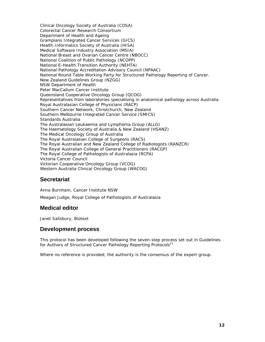Clinical Oncology Society of Australia (COSA) Colorectal Cancer Research Consortium Department of Health and Ageing Grampians Integrated Cancer Services (GICS) Health Informatics Society of Australia (HISA) Medical Software Industry Association (MSIA) National Breast and Ovarian Cancer Centre (NBOCC) National Coalition of Public Pathology (NCOPP) National E-Health Transition Authority (NEHTA) National Pathology Accreditation Advisory Council (NPAAC) National Round Table Working Party for Structured Pathology Reporting of Cancer. New Zealand Guidelines Group (NZGG) NSW Department of Health Peter MacCallum Cancer Institute Queensland Cooperative Oncology Group (QCOG) Representatives from laboratories specialising in anatomical pathology across Australia Royal Australasian College of Physicians (RACP) Southern Cancer Network, Christchurch, New Zealand Southern Melbourne Integrated Cancer Service (SMICS) Standards Australia The Australasian Leukaemia and Lymphoma Group (ALLG) The Haematology Society of Australia & New Zealand (HSANZ) The Medical Oncology Group of Australia The Royal Australasian College of Surgeons (RACS) The Royal Australian and New Zealand College of Radiologists (RANZCR) The Royal Australian College of General Practitioners (RACGP) The Royal College of Pathologists of Australasia (RCPA) Victoria Cancer Council Victorian Cooperative Oncology Group (VCOG) Western Australia Clinical Oncology Group (WACOG)

### **Secretariat**

Anna Burnham, Cancer Institute NSW Meagan Judge, Royal College of Pathologists of Australasia

### **Medical editor**

Janet Salisbury, Biotext

### **Development process**

This protocol has been developed following the seven-step process set out in *Guidelines for Authors of Structured Cancer Pathology Reporting Protocols*21

Where no reference is provided, the authority is the consensus of the expert group.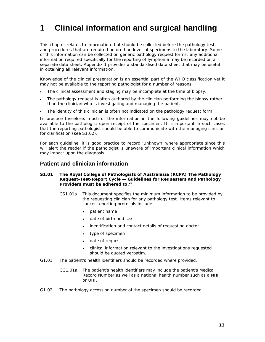# **1 Clinical information and surgical handling**

This chapter relates to information that should be collected before the pathology test, and procedures that are required before handover of specimens to the laboratory. Some of this information can be collected on generic pathology request forms; any additional information required specifically for the reporting of lymphoma may be recorded on a separate data sheet. Appendix 1 provides a standardised data sheet that may be useful in obtaining all relevant information**.** 

Knowledge of the clinical presentation is an essential part of the WHO classification yet it may not be available to the reporting pathologist for a number of reasons:

- The clinical assessment and staging may be incomplete at the time of biopsy.
- The pathology request is often authored by the clinician performing the biopsy rather than the clinician who is investigating and managing the patient.
- The identity of this clinician is often not indicated on the pathology request form

In practice therefore, much of the information in the following guidelines may not be available to the pathologist upon receipt of the specimen. It is important in such cases that the reporting pathologist should be able to communicate with the managing clinician for clarification (see S1.02).

For each guideline, it is good practice to record 'Unknown' where appropriate since this will alert the reader if the pathologist is unaware of important clinical information which may impact upon the diagnosis.

### **Patient and clinician information**

#### **S1.01 The Royal College of Pathologists of Australasia (RCPA)** *The Pathology Request-Test-Report Cycle — Guidelines for Requesters and Pathology Providers* must be adhered to.<sup>23</sup>

- CS1.01a This document specifies the minimum information to be provided by the requesting clinician for any pathology test. Items relevant to cancer reporting protocols include:
	- patient name
	- date of birth and sex
	- identification and contact details of requesting doctor
	- type of specimen
	- date of request
	- clinical information relevant to the investigations requested should be quoted verbatim.
- G1.01 The patient's health identifiers should be recorded where provided.
	- CG1.01a The patient's health identifiers may include the patient's Medical Record Number as well as a national health number such as a NHI or UHI.
- G1.02 The pathology accession number of the specimen should be recorded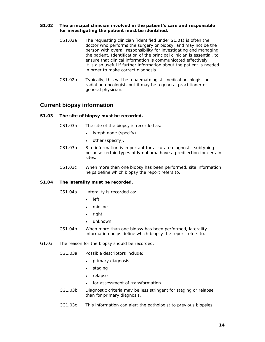#### **S1.02 The principal clinician involved in the patient's care and responsible for investigating the patient must be identified.**

- CS1.02a The requesting clinician (identified under S1.01) is often the doctor who performs the surgery or biopsy, and may not be the person with overall responsibility for investigating and managing the patient. Identification of the principal clinician is essential, to ensure that clinical information is communicated effectively. It is also useful if further information about the patient is needed in order to make correct diagnosis.
- CS1.02b Typically, this will be a haematologist, medical oncologist or radiation oncologist, but it may be a general practitioner or general physician.

### **Current biopsy information**

#### **S1.03 The site of biopsy must be recorded.**

- CS1.03a The site of the biopsy is recorded as:
	- lymph node (specify)
	- other (specify).
- CS1.03b Site information is important for accurate diagnostic subtyping because certain types of lymphoma have a predilection for certain sites.
- CS1.03c When more than one biopsy has been performed, site information helps define which biopsy the report refers to.

#### **S1.04 The laterality must be recorded.**

- CS1.04a Laterality is recorded as:
	- left
	- midline
	- right
	- unknown
- CS1.04b When more than one biopsy has been performed, laterality information helps define which biopsy the report refers to.
- G1.03 The reason for the biopsy should be recorded.
	- CG1.03a Possible descriptors include:
		- primary diagnosis
		- staging
		- relapse
		- for assessment of transformation.
	- CG1.03b Diagnostic criteria may be less stringent for staging or relapse than for primary diagnosis.
	- CG1.03c This information can alert the pathologist to previous biopsies.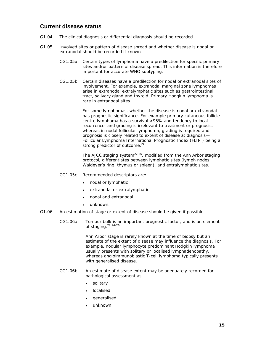### **Current disease status**

- G1.04 The clinical diagnosis or differential diagnosis should be recorded.
- G1.05 Involved sites or pattern of disease spread and whether disease is nodal or extranodal should be recorded if known
	- CG1.05a Certain types of lymphoma have a predilection for specific primary sites and/or pattern of disease spread. This information is therefore important for accurate WHO subtyping.
	- CG1.05b Certain diseases have a predilection for nodal or extranodal sites of involvement. For example, extranodal marginal zone lymphomas arise in extranodal extralymphatic sites such as gastrointestinal tract, salivary gland and thyroid. Primary Hodgkin lymphoma is rare in extranodal sites.

For some lymphomas, whether the disease is nodal or extranodal has prognostic significance. For example primary cutaneous follicle centre lymphoma has a survival >95% and tendency to local recurrence, and grading is irrelevant to treatment or prognosis, whereas in nodal follicular lymphoma, grading is required and prognosis is closely related to extent of disease at diagnosis— Follicular Lymphoma International Prognostic Index (FLIPI) being a strong predictor of outcome.<sup>24</sup>

The AJCC staging system $^{22,26}$ , modified from the Ann Arbor staging protocol, differentiates between lymphatic sites (lymph nodes, Waldeyer's ring, thymus or spleen), and extralymphatic sites.

- CG1.05c Recommended descriptors are:
	- nodal or lymphatic
	- extranodal or extralymphatic
	- nodal and extranodal
	- unknown.
- G1.06 An estimation of stage or extent of disease should be given if possible
	- CG1.06a Tumour bulk is an important prognostic factor, and is an element of staging.<sup>22,24-26</sup>

Ann Arbor stage is rarely known at the time of biopsy but an estimate of the extent of disease may influence the diagnosis. For example, nodular lymphocyte predominant Hodgkin lymphoma usually presents with solitary or localised lymphadenopathy, whereas angioimmunoblastic T-cell lymphoma typically presents with generalised disease.

- CG1.06b An estimate of disease extent may be adequately recorded for pathological assessment as:
	- solitary
	- localised
	- generalised
	- unknown.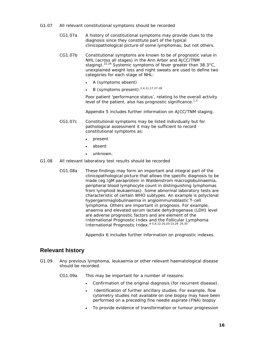- G1.07 All relevant constitutional symptoms should be recorded
	- CG1.07a A history of constitutional symptoms may provide clues to the diagnosis since they constitute part of the typical clinicopathological picture of some lymphomas, but not others.
	- CG1.07b Constitutional symptoms are known to be of prognostic value in NHL (across all stages) in the Ann Arbor and AJCC/TNM staging).<sup>22,26</sup> Systemic symptoms of fever greater than  $38.3^{\circ}$ C, unexplained weight loss and night sweats are used to define two categories for each stage of NHL:
		- A (symptoms absent)
		- $\bullet$  B (symptoms present).<sup>2,4,11,17,27-28</sup>

Poor patient 'performance status', relating to the overall activity level of the patient, also has prognostic significance.<sup>1,3</sup>

Appendix 5 includes further information on AJCC/TNM staging.

 CG1.07c Constitutional symptoms may be listed individually but for pathological assessment it may be sufficient to record constitutional symptoms as:

- present
- absent
- unknown.
- G1.08 All relevant laboratory test results should be recorded
	- CG1.08a These findings may form an important and integral part of the clinicopathological picture that allows the specific diagnosis to be made (eg IgM paraprotein in Waldenstrom macroglobulinaemia, peripheral blood lymphocyte count in distinguishing lymphomas from lymphoid leukaemias). Some abnormal laboratory tests are characteristic of certain WHO subtypes. An example is polyclonal hypergammaglobulinaemia in angioimmunoblastic T-cell lymphoma. Others are important in prognosis. For example, anaemia and elevated serum lactate dehydrogenase (LDH) level are adverse prognostic factors and are element of the International Prognostic Index and the Follicular Lymphoma International Prognostic Index.4-5,8,12,16,20-23,29 24,30

Appendix 6 includes further information on prognostic indexes.

### **Relevant history**

- G1.09 Any previous lymphoma, leukaemia or other relevant haematological disease should be recorded.
	- CG1.09a This may be important for a number of reasons:
		- Confirmation of the original diagnosis (for recurrent disease).
		- Identification of further ancillary studies. For example, flow cytometry studies not available on one biopsy may have been performed on a preceding fine needle aspirate (FNA) biopsy
		- To provide evidence of transformation or tumour progression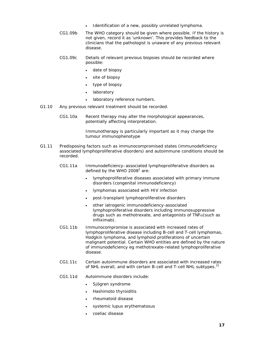- Identification of a new, possibly unrelated lymphoma.
- CG1.09b The WHO category should be given where possible. If the history is not given, record it as 'unknown'. This provides feedback to the clinicians that the pathologist is unaware of any previous relevant disease.
- CG1.09c Details of relevant previous biopsies should be recorded where possible:
	- date of biopsy
	- site of biopsy
	- type of biopsy
	- laboratory
	- laboratory reference numbers.
- G1.10 Any previous relevant treatment should be recorded.
	- CG1.10a Recent therapy may alter the morphological appearances, potentially affecting interpretation.

Immunotherapy is particularly important as it may change the tumour immunophenotype

- G1.11 Predisposing factors such as immunocompromised states (immunodeficiency associated lymphoproliferative disorders) and autoimmune conditions should be recorded.
	- CG1.11a Immunodeficiency–associated lymphoproliferative disorders as defined by the WHO 2008 $2$  are:
		- lymphoproliferative diseases associated with primary immune disorders (congenital immunodeficiency)
		- lymphomas associated with HIV infection
		- post-transplant lymphoproliferative disorders
		- other iatrogenic immunodeficiency-associated lymphoproliferative disorders including immunosuppressive drugs such as methotrexate, and antagonists of  $TNF\alpha$ (such as infliximab).
	- CG1.11b Immunocompromise is associated with increased rates of lymphoproliferative disease including B-cell and T-cell lymphomas, Hodgkin lymphoma, and lymphoid proliferations of uncertain malignant potential. Certain WHO entities are defined by the nature of immunodeficiency eg methotrexate-related lymphoproliferative disease.
	- CG1.11c Certain autoimmune disorders are associated with increased rates of NHL overall, and with certain B-cell and T-cell NHL subtypes.<sup>31</sup>
	- CG1.11d Autoimmune disorders include:
		- Sjögren syndrome
		- Hashimoto thyroiditis
		- rheumatoid disease
		- systemic lupus erythematosus
		- coeliac disease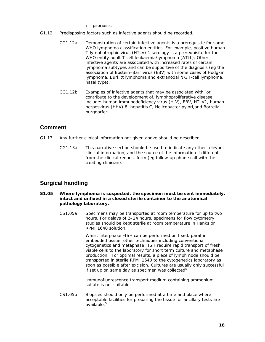- psoriasis.
- G1.12 Predisposing factors such as infective agents should be recorded.
	- CG1.12a Demonstration of certain infective agents is a prerequisite for some WHO lymphoma classification entities. For example, positive human T-lymphotrophic virus (HTLV) 1 serology is a prerequisite for the WHO entity adult T-cell leukaemia/lymphoma (ATLL). Other infective agents are associated with increased rates of certain lymphoma subtypes and can be supportive of the diagnosis (eg the association of Epstein–Barr virus (EBV) with some cases of Hodgkin lymphoma, Burkitt lymphoma and extranodal NK/T-cell lymphoma, nasal type).
	- CG1.12b Examples of infective agents that may be associated with, or contribute to the development of, lymphoproliferative disease include: human immunodeficiency virus (HIV), EBV, HTLV1, human herpesvirus (HHV) 8, hepatitis C, *Helicobacter pylori,*and *Borrelia burgdorferi*.

### **Comment**

- G1.13 Any further clinical information not given above should be described
	- CG1.13a This narrative section should be used to indicate any other relevant clinical information, and the source of the information if different from the clinical request form (eg follow-up phone call with the treating clinician).

# **Surgical handling**

- **S1.05 Where lymphoma is suspected, the specimen must be sent immediately, intact and unfixed in a closed sterile container to the anatomical pathology laboratory.** 
	- CS1.05a Specimens may be transported at room temperature for up to two hours. For delays of 2–24 hours, specimens for flow cytometry studies should be kept sterile at room temperature in Hanks or RPMI 1640 solution.

Whilst interphase FISH can be performed on fixed, paraffin embedded tissue, other techniques including conventional cytogenetics and metaphase FISH require rapid transport of fresh, viable cells to the laboratory for short term culture and metaphase production. For optimal results, a piece of lymph node should be transported in sterile RPMI 1640 to the cytogenetics laboratory as soon as possible after excision. Cultures are usually only successful if set up on same day as specimen was collected $5$ 

Immunofluorescence transport medium containing ammonium sulfate is not suitable.

 CS1.05b Biopsies should only be performed at a time and place where acceptable facilities for preparing the tissue for ancillary tests are available.<sup>5</sup>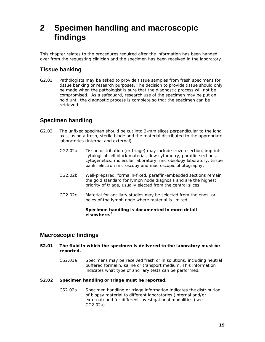# **2 Specimen handling and macroscopic findings**

This chapter relates to the procedures required after the information has been handed over from the requesting clinician and the specimen has been received in the laboratory.

# **Tissue banking**

G2.01 Pathologists may be asked to provide tissue samples from fresh specimens for tissue banking or research purposes. The decision to provide tissue should only be made when the pathologist is sure that the diagnostic process will not be compromised. As a safeguard, research use of the specimen may be put on hold until the diagnostic process is complete so that the specimen can be retrieved.

# **Specimen handling**

- G2.02 The unfixed specimen should be cut into 2-mm slices perpendicular to the long axis, using a fresh, sterile blade and the material distributed to the appropriate laboratories (internal and external).
	- CG2.02a Tissue distribution (or triage) may include frozen section, imprints, cytological cell block material, flow cytometry, paraffin sections, cytogenetics, molecular laboratory, microbiology laboratory, tissue bank, electron microscopy and macroscopic photography**.**
	- CG2.02b Well-prepared, formalin-fixed, paraffin-embedded sections remain the gold standard for lymph node diagnosis and are the highest priority of triage, usually elected from the central slices.
	- CG2.02c Material for ancillary studies may be selected from the ends, or poles of the lymph node where material is limited.

 **Specimen handling is documented in more detail elsewhere.5**

### **Macroscopic findings**

- **S2.01 The fluid in which the specimen is delivered to the laboratory must be reported.** 
	- CS2.01a Specimens may be received fresh or in solutions, including neutral buffered formalin, saline or transport medium. This information indicates what type of ancillary tests can be performed.

#### **S2.02 Specimen handling or triage must be reported.**

 CS2.02a Specimen handling or triage information indicates the distribution of biopsy material to different laboratories (internal and/or external) and for different investigational modalities (see CG2.02a)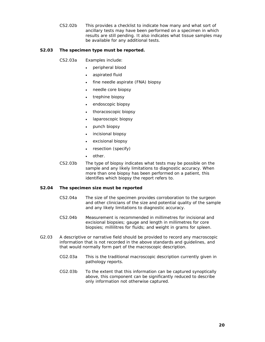CS2.02b This provides a checklist to indicate how many and what sort of ancillary tests may have been performed on a specimen in which results are still pending. It also indicates what tissue samples may be available for any additional tests.

#### **S2.03 The specimen type must be reported.**

CS2.03a Examples include:

- peripheral blood
- aspirated fluid
- fine needle aspirate (FNA) biopsy
- needle core biopsy
- trephine biopsy
- endoscopic biopsy
- thoracoscopic biopsy
- laparoscopic biopsy
- punch biopsy
- incisional biopsy
- excisional biopsy
- resection (specify)
- other.
- CS2.03b The type of biopsy indicates what tests may be possible on the sample and any likely limitations to diagnostic accuracy. When more than one biopsy has been performed on a patient, this identifies which biopsy the report refers to.

#### **S2.04 The specimen size must be reported**

- CS2.04a The size of the specimen provides corroboration to the surgeon and other clinicians of the size and potential quality of the sample and any likely limitations to diagnostic accuracy.
- CS2.04b Measurement is recommended in millimetres for incisional and excisional biopsies; gauge and length in millimetres for core biopsies; millilitres for fluids; and weight in grams for spleen.
- G2.03 A descriptive or narrative field should be provided to record any macroscopic information that is not recorded in the above standards and guidelines, and that would normally form part of the macroscopic description.
	- CG2.03a This is the traditional macroscopic description currently given in pathology reports.
	- CG2.03b To the extent that this information can be captured synoptically above, this component can be significantly reduced to describe only information not otherwise captured.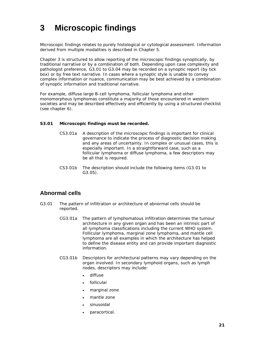# **3 Microscopic findings**

Microscopic findings relates to purely histological or cytological assessment. Information derived from multiple modalities is described in Chapter 5.

Chapter 3 is structured to allow reporting of the microscopic findings synoptically, by traditional narrative or by a combination of both. Depending upon case complexity and pathologist preference, G3.01 to G3.04 may be recorded on a synoptic report (by tick box) or by free text narrative. In cases where a synoptic style is unable to convey complex information or nuance, communication may be best achieved by a combination of synoptic information and traditional narrative.

For example, diffuse large B-cell lymphoma, follicular lymphoma and other monomorphous lymphomas constitute a majority of those encountered in western societies and may be described effectively and efficiently by using a structured checklist (see chapter 6).

#### **S3.01 Microscopic findings must be recorded.**

- CS3.01a A description of the microscopic findings is important for clinical governance to indicate the process of diagnostic decision making and any areas of uncertainty. In complex or unusual cases, this is especially important. In a straightforward case, such as a follicular lymphoma or diffuse lymphoma, a few descriptors may be all that is required.
- CS3.01b The description should include the following items (G3.01 to G3.05).

### **Abnormal cells**

- G3.01 The pattern of infiltration or architecture of abnormal cells should be reported.
	- CG3.01a The pattern of lymphomatous infiltration determines the tumour architecture in any given organ and has been an intrinsic part of all lymphoma classifications including the current WHO system. Follicular lymphoma, marginal zone lymphoma, and mantle cell lymphoma are all examples in which the architecture has helped to define the disease entity and can provide important diagnostic information.
	- CG3.01b Descriptors for architectural patterns may vary depending on the organ involved. In secondary lymphoid organs, such as lymph nodes, descriptors may include:
		- diffuse
		- follicular
		- marginal zone
		- mantle zone
		- sinusoidal
		- paracortical.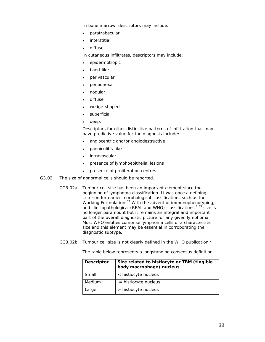In bone marrow, descriptors may include:

- paratrabecular
- interstitial
- diffuse.

In cutaneous infiltrates, descriptors may include:

- epidermotropic
- band-like
- perivascular
- periadnexal
- nodular
- diffuse
- wedge-shaped
- superficial
- deep.

Descriptors for other distinctive patterns of infiltration that may have predictive value for the diagnosis include:

- angiocentric and/or angiodestructive
- panniculitis-like
- intravascular
- presence of lymphoepithelial lesions
- presence of proliferation centres.
- G3.02 The size of abnormal cells should be reported.
	- CG3.02a Tumour cell size has been an important element since the beginning of lymphoma classification. It was once a defining criterion for earlier morphological classifications such as the Working Formulation.<sup>32</sup> With the advent of immunophenotyping, and clinicopathological (REAL and WHO) classifications, $2.33$  size is no longer paramount but it remains an integral and important part of the overall diagnostic picture for any given lymphoma. Most WHO entities comprise lymphoma cells of a characteristic size and this element may be essential in corroborating the diagnostic subtype.
- CG3.02b Tumour cell size is not clearly defined in the WHO publication. $2$

The table below represents a longstanding consensus definition.

| <b>Descriptor</b> | Size related to histiocyte or TBM (tingible<br>body macrophage) nucleus |  |
|-------------------|-------------------------------------------------------------------------|--|
| Small             | < histiocyte nucleus                                                    |  |
| Medium            | $=$ histiocyte nucleus                                                  |  |
| Large             | > histiocyte nucleus                                                    |  |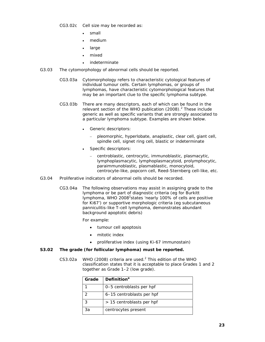CG3.02c Cell size may be recorded as:

- small
- medium
- large
- mixed
- indeterminate
- G3.03 The cytomorphology of abnormal cells should be reported.
	- CG3.03a Cytomorphology refers to characteristic cytological features of individual tumour cells. Certain lymphomas, or groups of lymphomas, have characteristic cytomorphological features that may be an important clue to the specific lymphoma subtype.
	- CG3.03b There are many descriptors, each of which can be found in the relevant section of the WHO publication  $(2008)$ .<sup>2</sup> These include generic as well as specific variants that are strongly associated to a particular lymphoma subtype. Examples are shown below.
		- Generic descriptors:
			- pleomorphic, hyperlobate, anaplastic, clear cell, giant cell, spindle cell, signet ring cell, blastic or indeterminate
		- Specific descriptors:
			- centroblastic, centrocytic, immunoblastic, plasmacytic, lymphoplasmacytic, lymphoplasmacytoid, prolymphocytic, paraimmunoblastic, plasmablastic, monocytoid, centrocyte-like, popcorn cell, Reed-Sternberg cell-like, etc.
- G3.04 Proliferative indicators of abnormal cells should be recorded.
	- CG3.04a The following observations may assist in assigning grade to the lymphoma or be part of diagnostic criteria (eg for Burkitt lymphoma, WHO 2008<sup>2</sup>states 'nearly 100% of cells are positive for Ki67') or supportive morphologic criteria (eg subcutaneous panniculitis-like T-cell lymphoma, demonstrates abundant background apoptotic debris)

For example:

- tumour cell apoptosis
- mitotic index
- proliferative index (using Ki-67 immunostain)

#### **S3.02 The grade (for follicular lymphoma) must be reported.**

CS3.02a WHO (2008) criteria are used.<sup>2</sup> This edition of the WHO classification states that it is acceptable to place Grades 1 and 2 together as Grade 1–2 (low grade).

| Grade | <b>Definition</b> <sup>a</sup> |
|-------|--------------------------------|
|       | 0-5 centroblasts per hpf       |
|       | 6-15 centroblasts per hpf      |
| 3     | > 15 centroblasts per hpf      |
| 3a    | centrocytes present            |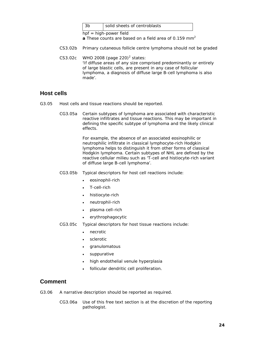|  | solid sheets of centroblasts |
|--|------------------------------|
|  |                              |

hpf = high-power field

**a** These counts are based on a field area of 0.159 mm<sup>2</sup>

- CS3.02b Primary cutaneous follicle centre lymphoma should not be graded
- $CS3.02c$  WHO 2008 (page 220)<sup>2</sup> states: 'If diffuse areas of any size comprised predominantly or entirely of large blastic cells, are present in any case of follicular lymphoma, a diagnosis of diffuse large B-cell lymphoma is also made'.

### **Host cells**

- G3.05 Host cells and tissue reactions should be reported.
	- CG3.05a Certain subtypes of lymphoma are associated with characteristic reactive infiltrates and tissue reactions. This may be important in defining the specific subtype of lymphoma and the likely clinical effects.

For example, the absence of an associated eosinophilic or neutrophilic infiltrate in classical lymphocyte-rich Hodgkin lymphoma helps to distinguish it from other forms of classical Hodgkin lymphoma. Certain subtypes of NHL are defined by the reactive cellular milieu such as 'T-cell and histiocyte-rich variant of diffuse large B-cell lymphoma'.

- CG3.05b Typical descriptors for host cell reactions include:
	- eosinophil-rich
	- T-cell-rich
	- histiocyte-rich
	- neutrophil-rich
	- plasma cell-rich
	- erythrophagocytic

CG3.05c Typical descriptors for host tissue reactions include:

- necrotic
- sclerotic
- granulomatous
- suppurative
- high endothelial venule hyperplasia
- follicular dendritic cell proliferation.

#### **Comment**

- G3.06 A narrative description should be reported as required.
	- CG3.06a Use of this free text section is at the discretion of the reporting pathologist.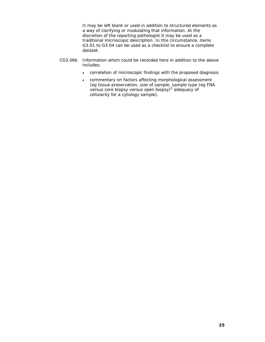It may be left blank or used in addition to structured elements as a way of clarifying or modulating that information. At the discretion of the reporting pathologist it may be used as a traditional microscopic description. In this circumstance, items G3.01 to G3.04 can be used as a checklist to ensure a complete dataset.

- CG3.06b Information which could be recorded here in addition to the above includes:
	- correlation of microscopic findings with the proposed diagnosis
	- commentary on factors affecting morphological assessment (eg tissue preservation, size of sample, sample type (eg FNA versus core biopsy versus open biopsy)<sup>5</sup> adequacy of cellularity for a cytology sample).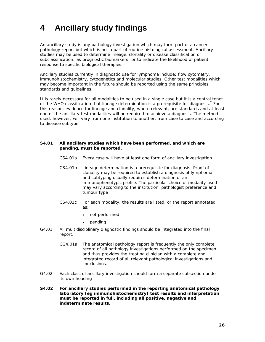# **4 Ancillary study findings**

An ancillary study is any pathology investigation which may form part of a cancer pathology report but which is not a part of routine histological assessment. Ancillary studies may be used to determine lineage, clonality or disease classification or subclassification; as prognostic biomarkers; or to indicate the likelihood of patient response to specific biological therapies.

Ancillary studies currently in diagnostic use for lymphoma include: flow cytometry, immunohistochemistry, cytogenetics and molecular studies. Other test modalities which may become important in the future should be reported using the same principles, standards and guidelines.

It is rarely necessary for all modalities to be used in a single case but it is a central tenet of the WHO classification that lineage determination is a prerequisite for diagnosis.<sup>2</sup> For this reason, evidence for lineage and clonality, where relevant, are standards and at least one of the ancillary test modalities will be required to achieve a diagnosis. The method used, however, will vary from one institution to another, from case to case and according to disease subtype.

#### **S4.01 All ancillary studies which have been performed, and which are pending, must be reported.**

- CS4.01a Every case will have at least one form of ancillary investigation.
- CS4.01b Lineage determination is a prerequisite for diagnosis. Proof of clonality may be required to establish a diagnosis of lymphoma and subtyping usually requires determination of an immunophenotypic profile. The particular choice of modality used may vary according to the institution, pathologist preference and tumour type
- CS4.01c For each modality, the results are listed, or the report annotated as:
	- not performed
	- pending
- G4.01 All multidisciplinary diagnostic findings should be integrated into the final report.
	- CG4.01a The anatomical pathology report is frequently the only complete record of all pathology investigations performed on the specimen and thus provides the treating clinician with a complete and integrated record of all relevant pathological investigations and conclusions.
- G4.02 Each class of ancillary investigation should form a separate subsection under its own heading
- **S4.02 For ancillary studies performed in the reporting anatomical pathology laboratory (eg immunohistochemistry) test results and interpretation must be reported in full, including all positive, negative and indeterminate results.**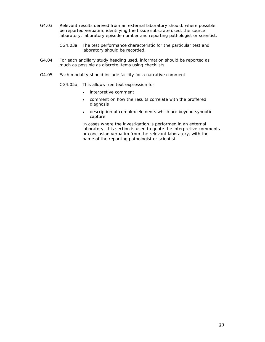- G4.03 Relevant results derived from an external laboratory should, where possible, be reported verbatim, identifying the tissue substrate used, the source laboratory, laboratory episode number and reporting pathologist or scientist.
	- CG4.03a The test performance characteristic for the particular test and laboratory should be recorded.
- G4.04 For each ancillary study heading used, information should be reported as much as possible as discrete items using checklists.
- G4.05 Each modality should include facility for a narrative comment.
	- CG4.05a This allows free text expression for:
		- interpretive comment
		- comment on how the results correlate with the proffered diagnosis
		- description of complex elements which are beyond synoptic capture

In cases where the investigation is performed in an external laboratory, this section is used to quote the interpretive comments or conclusion verbatim from the relevant laboratory, with the name of the reporting pathologist or scientist.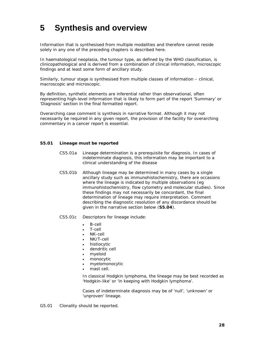# **5 Synthesis and overview**

Information that is synthesised from multiple modalities and therefore cannot reside solely in any one of the preceding chapters is described here.

In haematological neoplasia, the tumour type, as defined by the WHO classification, is clinicopathological and is derived from a combination of clinical information, microscopic findings and at least some form of ancillary study.

Similarly, tumour stage is synthesised from multiple classes of information – clinical, macroscopic and microscopic.

By definition, synthetic elements are inferential rather than observational, often representing high-level information that is likely to form part of the report 'Summary' or 'Diagnosis' section in the final formatted report.

Overarching case comment is synthesis in narrative format. Although it may not necessarily be required in any given report, the provision of the facility for overarching commentary in a cancer report is essential.

#### **S5.01 Lineage must be reported**

- CS5.01a Lineage determination is a prerequisite for diagnosis. In cases of indeterminate diagnosis, this information may be important to a clinical understanding of the disease
- CS5.01b Although lineage may be determined in many cases by a single ancillary study such as immunohistochemistry, there are occasions where the lineage is indicated by multiple observations (eg immunohistochemistry, flow cytometry and molecular studies). Since these findings may not necessarily be concordant, the final determination of lineage may require interpretation. Comment describing the diagnostic resolution of any discordance should be given in the narrative section below (**S5.04**).
- CS5.01c Descriptors for lineage include:
	- B-cell
	- T-cell
	- NK-cell
	- NK/T-cell
	- histiocytic
	- dendritic cell
	- myeloid
	- monocytic
	- myelomonocytic
	- mast cell.

In classical Hodgkin lymphoma, the lineage may be best recorded as 'Hodgkin-like' or 'in keeping with Hodgkin lymphoma'.

Cases of indeterminate diagnosis may be of 'null', 'unknown' or 'unproven' lineage.

G5.01 Clonality should be reported.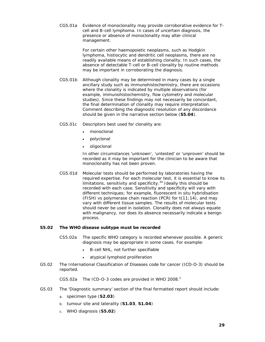CG5.01a Evidence of monoclonality may provide corroborative evidence for Tcell and B-cell lymphoma. In cases of uncertain diagnosis, the presence or absence of monoclonality may alter clinical management.

> For certain other haemopoietic neoplasms, such as Hodgkin lymphoma, histiocytic and dendritic cell neoplasms, there are no readily available means of establishing clonality. In such cases, the absence of detectable T-cell or B-cell clonality by routine methods may be important in corroborating the diagnosis.

- CG5.01b Although clonality may be determined in many cases by a single ancillary study such as immunohistochemistry, there are occasions where the clonality is indicated by multiple observations (for example, immunohistochemistry, flow cytometry and molecular studies). Since these findings may not necessarily be concordant, the final determination of clonality may require interpretation. Comment describing the diagnostic resolution of any discordance should be given in the narrative section below (**S5.04**).
- CG5.01c Descriptors best used for clonality are:
	- monoclonal
	- polyclonal
	- oligoclonal

In other circumstances 'unknown', 'untested' or 'unproven' should be recorded as it may be important for the clinician to be aware that monoclonality has not been proven.

 CG5.01d Molecular tests should be performed by laboratories having the required expertise. For each molecular test, it is essential to know its limitations, sensitivity and specificity. $34$  Ideally this should be recorded with each case. Sensitivity and specificity will vary with different techniques; for example, fluorescent in situ hybridisation (FISH) vs polymerase chain reaction (PCR) for  $t(11;14)$ , and may vary with different tissue samples. The results of molecular tests should never be used in isolation. Clonality does not always equate with malignancy, nor does its absence necessarily indicate a benign process.

#### **S5.02 The WHO disease subtype must be recorded**

- CS5.02a The specific WHO category is recorded whenever possible. A generic diagnosis may be appropriate in some cases. For example:
	- B-cell NHL, not further specifiable
	- atypical lymphoid proliferation
- G5.02 The International Classification of Diseases code for cancer (ICD-O-3) should be reported.

CG5.02a The ICD-O-3 codes are provided in WHO 2008. $^2$ 

- G5.03 The 'Diagnostic summary' section of the final formatted report should include:
	- a. specimen type (**S2.03**)
	- b. tumour site and laterality (**S1.03**, **S1.04**)
	- c. WHO diagnosis (**S5.02**)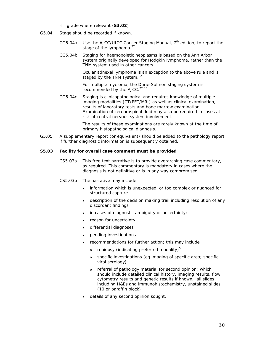- d. grade where relevant (**S3.02**)
- G5.04 Stage should be recorded if known.
	- CG5.04a Use the AJCC/UICC *Cancer Staging Manual*, 7<sup>th</sup> edition, to report the stage of the lymphoma.<sup>22</sup>
	- CG5.04b Staging for haemopoietic neoplasms is based on the Ann Arbor system originally developed for Hodgkin lymphoma, rather than the TNM system used in other cancers.

Ocular adnexal lymphoma is an exception to the above rule and is staged by the TNM system. $^{22}$ 

For multiple myeloma, the Durie-Salmon staging system is recommended by the AJCC. $22,35$ 

 CG5.04c Staging is clinicopathological and requires knowledge of multiple imaging modalities (CT/PET/MRI) as well as clinical examination, results of laboratory tests and bone marrow examination. Examination of cerebrospinal fluid may also be required in cases at risk of central nervous system involvement.

> The results of these examinations are rarely known at the time of primary histopathological diagnosis.

G5.05 A supplementary report (or equivalent) should be added to the pathology report if further diagnostic information is subsequently obtained.

#### **S5.03 Facility for overall case comment must be provided**

- CS5.03a This free text narrative is to provide overarching case commentary, as required. This commentary is mandatory in cases where the diagnosis is not definitive or is in any way compromised.
- CS5.03b The narrative may include:
	- information which is unexpected, or too complex or nuanced for structured capture
	- description of the decision making trail including resolution of any discordant findings
	- in cases of diagnostic ambiguity or uncertainty:
	- reason for uncertainty
	- differential diagnoses
	- pending investigations
	- recommendations for further action; this may include
		- $\circ$  rebiopsy (indicating preferred modality)<sup>5</sup>
		- o specific investigations (eg imaging of specific area; specific viral serology)
		- o referral of pathology material for second opinion; which should include detailed clinical history, imaging results, flow cytometry results and genetic results if known, all slides including H&Es and immunohistochemistry, unstained slides (10 or paraffin block)
	- details of any second opinion sought.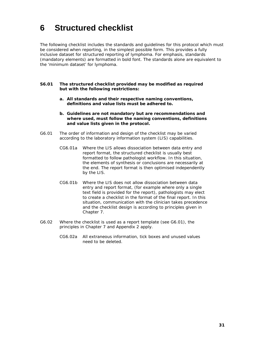# **6 Structured checklist**

The following checklist includes the standards and guidelines for this protocol which must be considered when reporting, in the simplest possible form. This provides a fully inclusive dataset for structured reporting of lymphoma. For emphasis, standards (mandatory elements) are formatted in bold font. The standards alone are equivalent to the 'minimum dataset' for lymphoma.

- **S6.01 The structured checklist provided may be modified as required but with the following restrictions:** 
	- **a. All standards and their respective naming conventions, definitions and value lists must be adhered to.**
	- **b. Guidelines are not mandatory but are recommendations and where used, must follow the naming conventions, definitions and value lists given in the protocol.**
- G6.01 The order of information and design of the checklist may be varied according to the laboratory information system (LIS) capabilities.
	- CG6.01a Where the LIS allows dissociation between data entry and report format, the structured checklist is usually best formatted to follow pathologist workflow. In this situation, the elements of synthesis or conclusions are necessarily at the end. The report format is then optimised independently by the LIS.
	- CG6.01b Where the LIS does not allow dissociation between data entry and report format, (for example where only a single text field is provided for the report), pathologists may elect to create a checklist in the format of the final report. In this situation, communication with the clinician takes precedence and the checklist design is according to principles given in Chapter 7.
- G6.02 Where the checklist is used as a report template (see G6.01), the principles in Chapter 7 and Appendix 2 apply.
	- CG6.02a All extraneous information, tick boxes and unused values need to be deleted.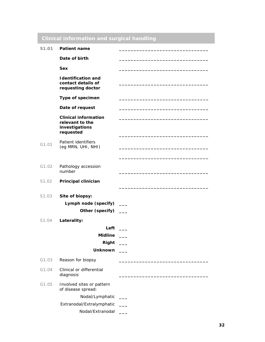# **Clinical information and surgical handling** S1.01 Patient name Date of birth **Sex \_\_\_\_\_\_\_\_\_\_\_\_\_\_\_\_\_\_\_\_\_\_\_\_\_\_\_\_\_\_\_ Identification and contact details of requesting doctor \_\_\_\_\_\_\_\_\_\_\_\_\_\_\_\_\_\_\_\_\_\_\_\_\_\_\_\_\_\_\_ Type of specimen \_\_\_\_\_\_\_\_\_\_\_\_\_\_\_\_\_\_\_\_\_\_\_\_\_\_\_\_\_\_\_**  Date of request **Clinical information relevant to the investigations requested \_\_\_\_\_\_\_\_\_\_\_\_\_\_\_\_\_\_\_\_\_\_\_\_\_\_\_\_\_\_\_ \_\_\_\_\_\_\_\_\_\_\_\_\_\_\_\_\_\_\_\_\_\_\_\_\_\_\_\_\_\_\_**  G1.01 Patient identifiers (eg MRN, UHI, NHI) **\_\_\_\_\_\_\_\_\_\_\_\_\_\_\_\_\_\_\_\_\_\_\_\_\_\_\_\_\_\_\_ \_\_\_\_\_\_\_\_\_\_\_\_\_\_\_\_\_\_\_\_\_\_\_\_\_\_\_\_\_\_\_**  G1.02 Pathology accession number **\_\_\_\_\_\_\_\_\_\_\_\_\_\_\_\_\_\_\_\_\_\_\_\_\_\_\_\_\_\_\_**  S1.02 **Principal clinician \_\_\_\_\_\_\_\_\_\_\_\_\_\_\_\_\_\_\_\_\_\_\_\_\_\_\_\_\_\_\_**  S1.03 **Site of biopsy:**  Lymph node (specify) \_\_\_ **Other (specify) \_\_\_** S1.04 **Laterality: Left \_\_\_ Midline \_\_\_ Right \_\_\_ Unknown \_\_\_** G1.03 **Reason for biopsy** G1.04 Clinical or differential diagnosis **\_\_\_\_\_\_\_\_\_\_\_\_\_\_\_\_\_\_\_\_\_\_\_\_\_\_\_\_\_\_\_**  G1.05 Involved sites or pattern of disease spread: Nodal/Lymphatic **\_\_\_**  Extranodal/Extralymphatic **\_\_\_**  Nodal/Extranodal **\_\_\_**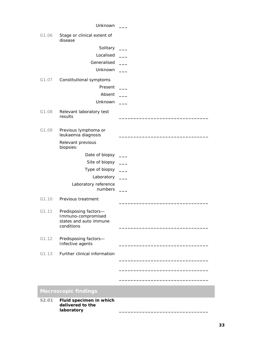|       | Unknown                                                                             |                          |
|-------|-------------------------------------------------------------------------------------|--------------------------|
| G1.06 | Stage or clinical extent of<br>disease                                              |                          |
|       | Solitary                                                                            | $\overline{\phantom{a}}$ |
|       | Localised                                                                           |                          |
|       | Generalised                                                                         |                          |
|       | Unknown                                                                             |                          |
| G1.07 | Constitutional symptoms                                                             |                          |
|       | Present                                                                             |                          |
|       | Absent                                                                              |                          |
|       | Unknown                                                                             |                          |
| G1.08 | Relevant laboratory test<br>results                                                 |                          |
|       |                                                                                     |                          |
| G1.09 | Previous lymphoma or<br>leukaemia diagnosis                                         |                          |
|       | Relevant previous<br>biopsies:                                                      |                          |
|       | Date of biopsy                                                                      |                          |
|       | Site of biopsy                                                                      |                          |
|       | Type of biopsy                                                                      |                          |
|       | Laboratory                                                                          | $\sim 10^{-1}$           |
|       | Laboratory reference<br>numbers                                                     |                          |
| G1.10 | Previous treatment                                                                  |                          |
| G1.11 | Predisposing factors-<br>Immuno-compromised<br>states and auto immune<br>conditions |                          |
| G1.12 | Predisposing factors-<br>Infective agents                                           |                          |
| G1.13 | Further clinical information                                                        |                          |
|       |                                                                                     |                          |
|       |                                                                                     |                          |
|       |                                                                                     |                          |
|       | <b>Macroscopic findings</b>                                                         |                          |
| S2.01 | Fluid specimen in which<br>delivered to the                                         |                          |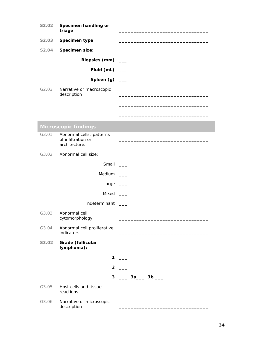| S2.02             | Specimen handling or<br>triage                                  |                     |
|-------------------|-----------------------------------------------------------------|---------------------|
| S2.03             | Specimen type                                                   |                     |
| <b>S2.04</b>      | Specimen size:                                                  |                     |
|                   | <b>Biopsies (mm)</b>                                            |                     |
|                   | Fluid (mL) $\_\_$                                               |                     |
|                   | Spleen $(g)$ __                                                 |                     |
| G <sub>2.03</sub> | Narrative or macroscopic<br>description                         |                     |
|                   |                                                                 |                     |
|                   | <b>Microscopic findings</b>                                     |                     |
| G3.01             | Abnormal cells: patterns<br>of infiltration or<br>architecture: |                     |
| G3.02             | Abnormal cell size:                                             |                     |
|                   | Small                                                           |                     |
|                   | Medium J                                                        |                     |
|                   | Large                                                           |                     |
|                   | Mixed                                                           |                     |
|                   | Indeterminant                                                   |                     |
| G3.03             | Abnormal cell<br>cytomorphology                                 |                     |
| G3.04             | Abnormal cell proliferative<br>indicators                       |                     |
| S3.02             | Grade (follicular<br>lymphoma):                                 |                     |
|                   | 1                                                               |                     |
|                   | $\overline{2}$                                                  |                     |
|                   | 3                                                               | ____ 3a____ 3b ____ |
| G3.05             | Host cells and tissue<br>reactions                              |                     |
| G3.06             | Narrative or microscopic<br>description                         |                     |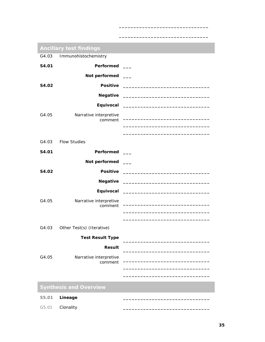| <b>Ancillary test findings</b> |                                 |  |  |  |
|--------------------------------|---------------------------------|--|--|--|
|                                | G4.03 Immunohistochemistry      |  |  |  |
| S4.01                          | <b>Performed</b>                |  |  |  |
|                                | Not performed ___               |  |  |  |
| S4.02                          |                                 |  |  |  |
|                                |                                 |  |  |  |
|                                |                                 |  |  |  |
| G4.05                          | Narrative interpretive          |  |  |  |
|                                | comment                         |  |  |  |
|                                |                                 |  |  |  |
| G4.03                          | <b>Flow Studies</b>             |  |  |  |
| S4.01                          | <b>Performed</b>                |  |  |  |
|                                | Not performed ___               |  |  |  |
| S4.02                          |                                 |  |  |  |
|                                |                                 |  |  |  |
|                                |                                 |  |  |  |
| G4.05                          | Narrative interpretive          |  |  |  |
|                                | comment                         |  |  |  |
|                                |                                 |  |  |  |
|                                | G4.03 Other Test(s) (Iterative) |  |  |  |
|                                | <b>Test Result Type</b>         |  |  |  |
|                                | <b>Result</b>                   |  |  |  |
| G4.05                          | Narrative interpretive          |  |  |  |
|                                | comment                         |  |  |  |
|                                |                                 |  |  |  |
|                                | <b>Synthesis and Overview</b>   |  |  |  |
| S5.01                          | Lineage                         |  |  |  |

G5.01 **Clonality** 

**\_\_\_\_\_\_\_\_\_\_\_\_\_\_\_\_\_\_\_\_\_\_\_\_\_\_\_\_\_\_\_**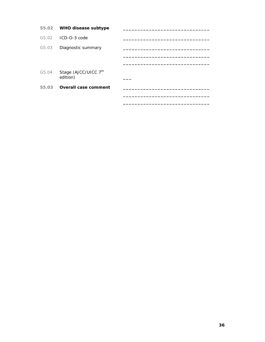|       | S5.02 WHO disease subtype                    |  |
|-------|----------------------------------------------|--|
| G5.02 | $ICD-O-3 code$                               |  |
| G5.03 | Diagnostic summary                           |  |
|       |                                              |  |
|       |                                              |  |
| G5.04 | Stage (AJCC/UICC 7 <sup>th</sup><br>edition) |  |
| S5.03 | <b>Overall case comment</b>                  |  |
|       |                                              |  |
|       |                                              |  |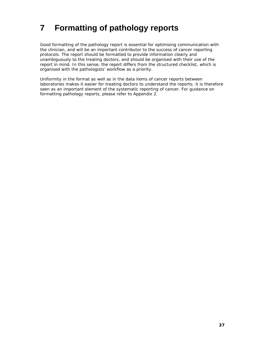# **7 Formatting of pathology reports**

Good formatting of the pathology report is essential for optimising communication with the clinician, and will be an important contributor to the success of cancer reporting protocols. The report should be formatted to provide information clearly and unambiguously to the treating doctors, and should be organised with their use of the report in mind. In this sense, the report differs from the structured checklist, which is organised with the pathologists' workflow as a priority.

Uniformity in the format as well as in the data items of cancer reports between laboratories makes it easier for treating doctors to understand the reports; it is therefore seen as an important element of the systematic reporting of cancer. For guidance on formatting pathology reports, please refer to Appendix 2.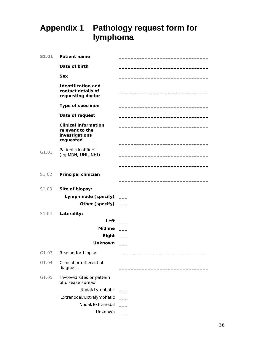# **Appendix 1 Pathology request form for lymphoma**

| S1.01 | <b>Patient name</b>                                                           |  |
|-------|-------------------------------------------------------------------------------|--|
|       | Date of birth                                                                 |  |
|       | <b>Sex</b>                                                                    |  |
|       | <b>Identification and</b><br>contact details of<br>requesting doctor          |  |
|       | Type of specimen                                                              |  |
|       | Date of request                                                               |  |
|       | <b>Clinical information</b><br>relevant to the<br>investigations<br>requested |  |
| G1.01 | Patient identifiers<br>(eg MRN, UHI, NHI)                                     |  |
| S1.02 | Principal clinician                                                           |  |
| S1.03 | Site of biopsy:<br>Lymph node (specify) ___<br>Other (specify) __             |  |
| S1.04 | Laterality:                                                                   |  |
|       | Left                                                                          |  |
|       | <b>Midline</b>                                                                |  |
|       | Right                                                                         |  |
|       | Unknown                                                                       |  |
| G1.03 | Reason for biopsy                                                             |  |
| G1.04 | Clinical or differential<br>diagnosis                                         |  |
| G1.05 | Involved sites or pattern<br>of disease spread:                               |  |
|       | Nodal/Lymphatic                                                               |  |
|       | Extranodal/Extralymphatic                                                     |  |
|       | Nodal/Extranodal                                                              |  |
|       | Unknown                                                                       |  |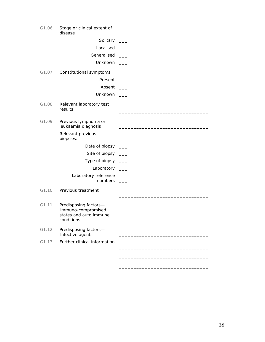| G1.06 | Stage or clinical extent of<br>disease                                              |  |
|-------|-------------------------------------------------------------------------------------|--|
|       | Solitary                                                                            |  |
|       | Localised                                                                           |  |
|       | Generalised                                                                         |  |
|       | Unknown                                                                             |  |
| G1.07 | Constitutional symptoms                                                             |  |
|       | Present                                                                             |  |
|       | Absent                                                                              |  |
|       | Unknown                                                                             |  |
| G1.08 | Relevant laboratory test<br>results                                                 |  |
| G1.09 | Previous lymphoma or<br>leukaemia diagnosis                                         |  |
|       | Relevant previous<br>biopsies:                                                      |  |
|       | Date of biopsy                                                                      |  |
|       | Site of biopsy                                                                      |  |
|       | Type of biopsy                                                                      |  |
|       | Laboratory                                                                          |  |
|       | Laboratory reference<br>numbers                                                     |  |
| G1.10 | Previous treatment                                                                  |  |
| G1.11 | Predisposing factors-<br>Immuno-compromised<br>states and auto immune<br>conditions |  |
| G1.12 | Predisposing factors-<br>Infective agents                                           |  |
| G1.13 | Further clinical information                                                        |  |
|       |                                                                                     |  |
|       |                                                                                     |  |

**\_\_\_\_\_\_\_\_\_\_\_\_\_\_\_\_\_\_\_\_\_\_\_\_\_\_\_\_\_\_\_**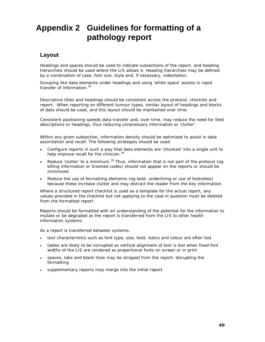# **Appendix 2 Guidelines for formatting of a pathology report**

## **Layout**

Headings and spaces should be used to indicate subsections of the report, and heading hierarchies should be used where the LIS allows it. Heading hierarchies may be defined by a combination of case, font size, style and, if necessary, indentation.

Grouping like data elements under headings and using 'white space' assists in rapid transfer of information.<sup>36</sup>

Descriptive titles and headings should be consistent across the protocol, checklist and report. When reporting on different tumour types, similar layout of headings and blocks of data should be used, and this layout should be maintained over time.

Consistent positioning speeds data transfer and, over time, may reduce the need for field descriptions or headings, thus reducing unnecessary information or 'clutter'.

Within any given subsection, information density should be optimised to assist in data assimilation and recall. The following strategies should be used:

- Configure reports in such a way that data elements are 'chunked' into a single unit to help improve recall for the clinician.<sup>36</sup>
- Reduce 'clutter' to a minimum. $36$  Thus, information that is not part of the protocol (eg billing information or Snomed codes) should not appear on the reports or should be minimised.
- Reduce the use of formatting elements (eg bold, underlining or use of footnotes) because these increase clutter and may distract the reader from the key information.

Where a structured report checklist is used as a template for the actual report, any values provided in the checklist but not applying to the case in question must be deleted from the formatted report.

Reports should be formatted with an understanding of the potential for the information to mutate or be degraded as the report is transferred from the LIS to other health information systems.

As a report is transferred between systems:

- text characteristics such as font type, size, bold, italics and colour are often lost
- tables are likely to be corrupted as vertical alignment of text is lost when fixed font widths of the LIS are rendered as proportional fonts on screen or in print
- spaces, tabs and blank lines may be stripped from the report, disrupting the formatting
- supplementary reports may merge into the initial report.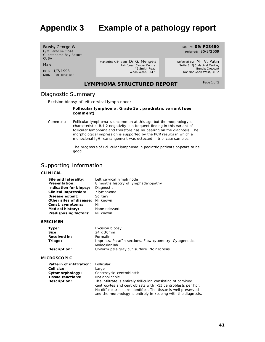# **Appendix 3 Example of a pathology report**

**Bush,** George W. C/O Paradise Close Guantanamo Bay Resort CUBA

Male

DOB 1/7/1998 MRN FMC1096785 Managing Clinician: Dr G. Mengels Rainforest Cancer Centre. 46 Smith Road, Woop Woop, 3478

Referred: 30/2/2009 Referred by: Mr V. Putin

Lab Ref: **09/P28460**

Suite 3, AJC Medical Centre, Bunyip Crescent Nar Nar Goon West, 3182

### **LYMPHOMA STRUCTURED REPORT**

Page 1 of 2

#### Diagnostic Summary

Excision biopsy of left cervical lymph node:

#### **Follicular lymphoma, Grade 3a , paediatric variant (see comment)**

Comment: Follicular lymphoma is uncommon at this age but the morphology is characteristic. Bcl-2 negativity is a frequent finding in this variant of follicular lymphoma and therefore has no bearing on the diagnosis. The morphological impression is supported by the PCR results in which a monoclonal IgH rearrangement was detected in triplicate samples.

> The prognosis of Follicular lymphoma in pediatric patients appears to be good.

### Supporting Information

#### **CLINICAL**

| Site and laterality:        | Left cervical lymph node            |
|-----------------------------|-------------------------------------|
| <b>Presentation:</b>        | 8 months history of lymphadenopathy |
| Indication for biopsy:      | Diagnostic                          |
| <b>Clinical impression:</b> | ? lymphoma                          |
| Disease extent:             | Solitary                            |
| Other sites of disease:     | Nil known                           |
| Const. symptoms:            | Nil                                 |
| <b>Medical history:</b>     | None relevant                       |
| Predisposing factors:       | Nil known                           |

#### **SPECIMEN**

| Type:        | Excision biopsy                                            |
|--------------|------------------------------------------------------------|
| Size:        | 24 x 30mm                                                  |
| Received in: | Formalin                                                   |
| Triage:      | Imprints, Paraffin sections, Flow cytometry, Cytogenetics, |
|              | Molecular lab                                              |
| Description: | Uniform pale gray cut surface. No necrosis.                |

#### **MICROSCOPIC**

| Pattern of infiltration: Follicular |                                                               |  |
|-------------------------------------|---------------------------------------------------------------|--|
| Cell size:                          | Large                                                         |  |
| Cytomorphology:                     | Centrocytic, centroblastic                                    |  |
| Tissue reactions:                   | Not applicable                                                |  |
| Description:                        | The infiltrate is entirely follicular, consisting of admixed  |  |
|                                     | centrocytes and centroblasts with >15 centroblasts per hpf.   |  |
|                                     | No diffuse areas are identified. The tissue is well preserved |  |
|                                     | and the morphology is entirely in keeping with the diagnosis. |  |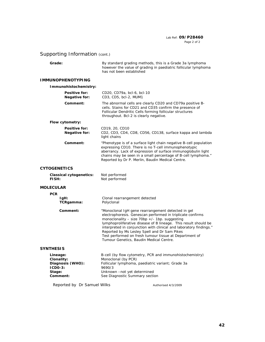#### Lab Ref: **09/P28460** Page 2 of 2

# Supporting Information (cont.)

| Grade:                                                                        | By standard grading methods, this is a Grade 3a lymphoma<br>however the value of grading in paediatric follicular lymphoma<br>has not been established                                                                                                      |                                                                                                                                                                                                     |
|-------------------------------------------------------------------------------|-------------------------------------------------------------------------------------------------------------------------------------------------------------------------------------------------------------------------------------------------------------|-----------------------------------------------------------------------------------------------------------------------------------------------------------------------------------------------------|
| <b>I MMUNOPHENOTYPI NG</b>                                                    |                                                                                                                                                                                                                                                             |                                                                                                                                                                                                     |
| Immunohistochemistry:                                                         |                                                                                                                                                                                                                                                             |                                                                                                                                                                                                     |
| Positive for:<br><b>Negative for:</b>                                         | CD20, CD79a, bcl-6, bcl-10<br>CD3, CD5, bcl-2, MUM1                                                                                                                                                                                                         |                                                                                                                                                                                                     |
| Comment:                                                                      | cells. Stains for CD21 and CD35 confirm the presence of<br>Follicular Dendritic Cells forming follicular structures<br>throughout. Bcl-2 is clearly negative.                                                                                               | The abnormal cells are clearly CD20 and CD79a positive B-                                                                                                                                           |
| Flow cytometry:                                                               |                                                                                                                                                                                                                                                             |                                                                                                                                                                                                     |
| Positive for:<br><b>Negative for:</b>                                         | CD19, 20, CD10<br>light chains                                                                                                                                                                                                                              | CD2, CD3, CD4, CD8, CD56, CD138, surface kappa and lambda                                                                                                                                           |
| Comment:                                                                      | expressing CD10. There is no T-cell immunophenotypic<br>Reported by Dr P. Merlin, Baudin Medical Centre.                                                                                                                                                    | "Phenotype is of a surface light chain negative B-cell population<br>aberrancy. Lack of expression of surface immunoglobulin light<br>chains may be seen in a small percentage of B-cell lymphoma." |
| <b>CYTOGENETICS</b>                                                           |                                                                                                                                                                                                                                                             |                                                                                                                                                                                                     |
| <b>Classical cytogenetics:</b><br>FISH:                                       | Not performed<br>Not performed                                                                                                                                                                                                                              |                                                                                                                                                                                                     |
| <b>MOLECULAR</b>                                                              |                                                                                                                                                                                                                                                             |                                                                                                                                                                                                     |
| <b>PCR</b>                                                                    |                                                                                                                                                                                                                                                             |                                                                                                                                                                                                     |
| IgH:<br>TCRgamma:                                                             | Clonal rearrangement detected<br>Polyclonal                                                                                                                                                                                                                 |                                                                                                                                                                                                     |
| Comment:                                                                      | "Monoclonal IgH gene rearrangement detected in gel<br>monoclonality - size $70bp +/- 1bp$ . suggesting<br>Reported by Ms Lesley Spell and Dr Sam Pikes<br>Test performed on fresh tumour tissue at Department of<br>Tumour Genetics, Baudin Medical Centre. | electrophoresis. Genescan performed in triplicate confirms<br>lymphoproliferative disease of B lineage. This result should be<br>interpreted in conjunction with clinical and laboratory findings." |
| <b>SYNTHESIS</b>                                                              |                                                                                                                                                                                                                                                             |                                                                                                                                                                                                     |
| Lineage:<br>Clonality:<br>Diagnosis (WHO):<br>$ICDO-3:$<br>Stage:<br>Comment: | B-cell (by flow cytometry, PCR and immunohistochemistry)<br>Monoclonal (by PCR)<br>Follicular lymphoma, paediatric variant; Grade 3a<br>9690/3<br>Unknown - not yet determined<br>See Diagnostic Summary section                                            |                                                                                                                                                                                                     |
| Reported by Dr Samuel Wilks                                                   |                                                                                                                                                                                                                                                             | Authorised 4/3/2009                                                                                                                                                                                 |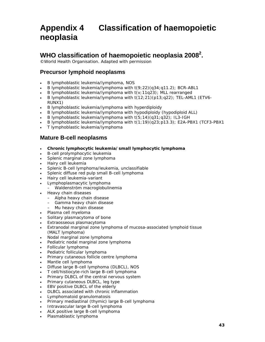# **Appendix 4 Classification of haemopoietic neoplasia**

# **WHO classification of haemopoietic neoplasia 20082 .**

©World Health Organisation. Adapted with permission

## **Precursor lymphoid neoplasms**

- B lymphoblastic leukemia/lymphoma, NOS
- B lymphoblastic leukemia/lymphoma with t(9;22)(q34;q11.2); *BCR-ABL1*
- B lymphoblastic leukemia/lymphoma with t(v;11q23); *MLL* rearranged
- B lymphoblastic leukemia/lymphoma with t(12;21)(p13;q22); *TEL-AML1* (*ETV6- RUNX1*)
- B lymphoblastic leukemia/lymphoma with hyperdiploidy
- B lymphoblastic leukemia/lymphoma with hypodiploidy (hypodiploid ALL)
- B lymphoblastic leukemia/lymphoma with t(5;14)(q31;q32); *IL3-IGH*
- B lymphoblastic leukemia/lymphoma with t(1;19)(q23;p13.3); *E2A-PBX1* (*TCF3-PBX1*
- . T lymphoblastic leukemia/lymphoma

### **Mature B-cell neoplasms**

- **Chronic lymphocytic leukemia/small lymphocytic lymphoma**
- B-cell prolymphocytic leukemia
- Splenic marginal zone lymphoma
- Hairy cell leukemia
- *Splenic B-cell lymphoma/leukemia, unclassifiable*
- *Splenic diffuse red pulp small B-cell lymphoma*
- *Hairy cell leukemia-variant*
- Lymphoplasmacytic lymphoma
	- Waldenström macroglobulinemia
- Heavy chain diseases
	- Alpha heavy chain disease
	- Gamma heavy chain disease
	- Mu heavy chain disease
- Plasma cell myeloma
- Solitary plasmacytoma of bone
- Extraosseous plasmacytoma
- Extranodal marginal zone lymphoma of mucosa-associated lymphoid tissue (MALT lymphoma)
- Nodal marginal zone lymphoma
- *Pediatric nodal marginal zone lymphoma*
- Follicular lymphoma
- *Pediatric follicular lymphoma*
- Primary cutaneous follicle centre lymphoma
- Mantle cell lymphoma
- Diffuse large B-cell lymphoma (DLBCL), NOS
- T cell/histiocyte-rich large B-cell lymphoma
- Primary DLBCL of the central nervous system
- Primary cutaneous DLBCL, leg type
- *EBV positive DLBCL of the elderly*
- DLBCL associated with chronic inflammation
- Lymphomatoid granulomatosis
- Primary mediastinal (thymic) large B-cell lymphoma
- Intravascular large B-cell lymphoma
- ALK positive large B-cell lymphoma
- Plasmablastic lymphoma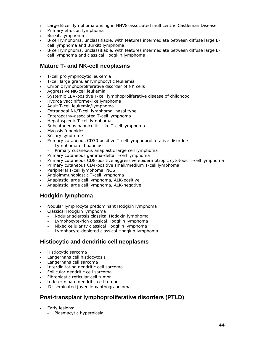- Large B-cell lymphoma arising in HHV8-associated multicentric Castleman Disease
- Primary effusion lymphoma
- Burkitt lymphoma
- B-cell lymphoma, unclassifiable, with features intermediate between diffuse large Bcell lymphoma and Burkitt lymphoma
- B-cell lymphoma, unclassifiable, with features intermediate between diffuse large Bcell lymphoma and classical Hodgkin lymphoma

### **Mature T- and NK-cell neoplasms**

- T-cell prolymphocytic leukemia
- T-cell large granular lymphocytic leukemia
- *Chronic lymphoproliferative disorder of NK cells*
- Aggressive NK-cell leukemia
- Systemic EBV-positive T-cell lymphoproliferative disease of childhood
- Hydroa vacciniforme-like lymphoma
- Adult T-cell leukemia/lymphoma
- Extranodal NK/T-cell lymphoma, nasal type
- Enteropathy-associated T-cell lymphoma
- Hepatosplenic T-cell lymphoma
- Subcutaneous panniculitis-like T-cell lymphoma
- Mycosis fungoides
- Sézary syndrome
- Primary cutaneous CD30 positive T-cell lymphoproliferative disorders
	- Lymphomatoid papulosis
	- Primary cutaneous anaplastic large cell lymphoma
- Primary cutaneous gamma-delta T-cell lymphoma
- *Primary cutaneous CD8-positive aggressive epidermotropic cytotoxic T-cell lymphoma*
- *Primary cutaneous CD4-positive small/medium T-cell lymphoma*
- Peripheral T-cell lymphoma, NOS
- Angioimmunoblastic T-cell lymphoma
- Anaplastic large cell lymphoma, ALK-positive
- *Anaplastic large cell lymphoma, ALK-negative*

# **Hodgkin lymphoma**

- Nodular lymphocyte predominant Hodgkin lymphoma
- Classical Hodgkin lymphoma
	- Nodular sclerosis classical Hodgkin lymphoma
	- Lymphocyte-rich classical Hodgkin lymphoma
	- Mixed cellularity classical Hodgkin lymphoma
	- Lymphocyte-depleted classical Hodgkin lymphoma

### **Histiocytic and dendritic cell neoplasms**

- Histiocytic sarcoma
- Langerhans cell histiocytosis
- Langerhans cell sarcoma
- Interdigitating dendritic cell sarcoma
- Follicular dendritic cell sarcoma
- *Fibroblastic reticular cell tumor*
- *Indeterminate dendritic cell tumor*
- Disseminated juvenile xanthogranuloma

# **Post-transplant lymphoproliferative disorders (PTLD)**

- Early lesions:
	- Plasmacytic hyperplasia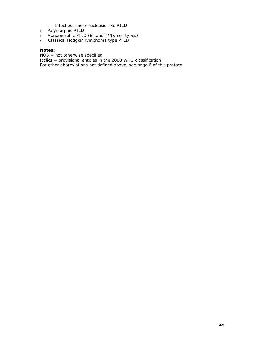- Infectious mononucleosis-like PTLD
- Polymorphic PTLD
- Monomorphic PTLD (B- and T/NK-cell types)
- Classical Hodgkin lymphoma type PTLD

#### **Notes:**

NOS = not otherwise specified

Italics = provisional entities in the 2008 WHO classification

For other abbreviations not defined above, see page 6 of this protocol.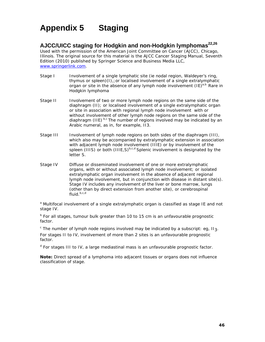# **Appendix 5 Staging**

# AJCC/UICC staging for Hodgkin and non-Hodgkin lymphomas<sup>22,26</sup>

Used with the permission of the American Joint Committee on Cancer (AJCC), Chicago, Illinois. The original source for this material is the AJCC Cancer Staging Manual, Seventh Edition (2010) published by Springer Science and Business Media LLC, www.springerlink.com.

- Stage I Involvement of a single lymphatic site (ie nodal region, Waldeyer's ring, thymus or spleen)(I),;or localised involvement of a single extralymphatic organ or site in the absence of any lymph node involvement  $(IE)^{a,b}$  Rare in Hodgkin lymphoma
- Stage II Involvement of two or more lymph node regions on the same side of the diaphragm (II); or localised involvement of a single extralymphatic organ or site in association with regional lymph node involvement with or without involvement of other lymph node regions on the same side of the diaphragm (IIE)  $b,c$  The number of regions involved may be indicated by an Arabic numeral, as in, for example, II3.
- Stage III Involvement of lymph node regions on both sides of the diaphragm (III), which also may be accompanied by extralymphatic extension in association with adjacent lymph node involvement (IIIE) or by involvement of the spleen (IIIS) or both (IIIE, S) $^{b,c,d}$  Splenic involvement is designated by the letter S.
- Stage IV Diffuse or disseminated involvement of one or more extralymphatic organs, with or without associated lymph node involvement; or isolated extralymphatic organ involvement in the absence of adjacent regional lymph node involvement, but in conjunction with disease in distant site(s). Stage IV includes any involvement of the liver or bone marrow, lungs (other than by direct extension from another site), or cerebrospinal fluid.b,c,d

<sup>a</sup> Multifocal involvement of a single extralymphatic organ is classified as stage IE and not stage IV.

<sup>b</sup> For all stages, tumour bulk greater than 10 to 15 cm is an unfavourable prognostic factor.

 $\textdegree$  The number of lymph node regions involved may be indicated by a subscript: eg, II<sub>3</sub>. For stages II to IV, involvement of more than 2 sites is an unfavourable prognostic factor.

<sup>d</sup> For stages III to IV, a large mediastinal mass is an unfavourable prognostic factor.

**Note:** Direct spread of a lymphoma into adjacent tissues or organs does not influence classification of stage.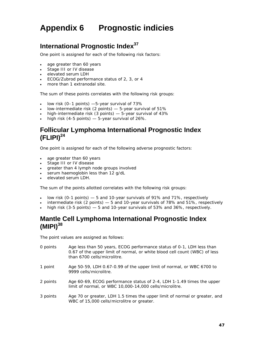# **Appendix 6 Prognostic indicies**

# **International Prognostic Index<sup>37</sup>**

One point is assigned for each of the following risk factors:

- age greater than 60 years
- Stage III or IV disease
- elevated serum LDH
- ECOG/Zubrod performance status of 2, 3, or 4
- more than 1 extranodal site.

The sum of these points correlates with the following risk groups:

- $\bullet$  low risk (0–1 points)  $-5$ -year survival of 73%
- $\bullet$  low-intermediate risk (2 points)  $-5$ -year survival of 51%
- $\bullet$  high-intermediate risk (3 points)  $-5$ -year survival of 43%
- $\bullet$  high risk (4-5 points)  $-$  5-year survival of 26%.

# **Follicular Lymphoma International Prognostic Index (FLIPI)<sup>24</sup>**

One point is assigned for each of the following adverse prognostic factors:

- age greater than 60 years
- Stage III or IV disease
- greater than 4 lymph node groups involved
- serum haemoglobin less than 12 g/dL
- elevated serum LDH.

The sum of the points allotted correlates with the following risk groups:

- low risk (0-1 points)  $-5$  and 10-year survivals of 91% and 71%, respectively
- intermediate risk (2 points) 5 and 10-year survivals of 78% and 51%, respectively
- high risk (3-5 points) 5 and 10-year survivals of 53% and 36%, respectively.

# **Mantle Cell Lymphoma International Prognostic Index (MIPI)<sup>38</sup>**

The point values are assigned as follows:

- 0 points Age less than 50 years, ECOG performance status of 0-1, LDH less than 0.67 of the upper limit of normal, or white blood cell count (WBC) of less than 6700 cells/microlitre.
- 1 point Age 50-59, LDH 0.67-0.99 of the upper limit of normal, or WBC 6700 to 9999 cells/microlitre.
- 2 points Age 60-69, ECOG performance status of 2-4, LDH 1-1.49 times the upper limit of normal, or WBC 10,000-14,000 cells/microlitre.
- 3 points Age 70 or greater, LDH 1.5 times the upper limit of normal or greater, and WBC of 15,000 cells/microlitre or greater.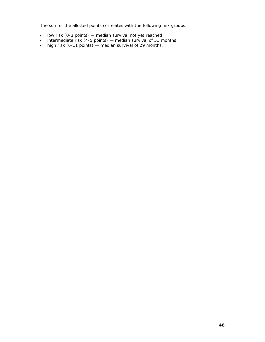The sum of the allotted points correlates with the following risk groups:

- low risk (0-3 points) median survival not yet reached
- $\bullet$  intermediate risk (4-5 points) median survival of 51 months
- $\bullet$  high risk (6-11 points) median survival of 29 months.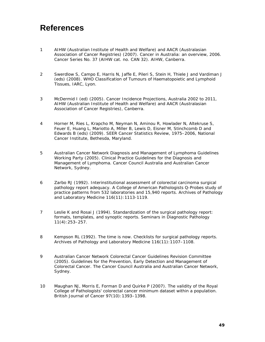# **References**

- 1 AIHW (Australian Institute of Health and Welfare) and AACR (Australasian Association of Cancer Registries) (2007). *Cancer in Australia: an overview, 2006*. Cancer Series No. 37 (AIHW cat. no. CAN 32). AIHW, Canberra.
- 2 Swerdlow S, Campo E, Harris N, Jaffe E, Pileri S, Stein H, Thiele J and Vardiman J (eds) (2008). *WHO Classification of Tumours of Haematopoietic and Lymphoid Tissues*, IARC, Lyon.
- 3 McDermid I (ed) (2005). *Cancer Incidence Projections, Australia 2002 to 2011*, AIHW (Australian Institute of Health and Welfare) and AACR (Australasian Association of Cancer Registries), Canberra.
- 4 Horner M, Ries L, Krapcho M, Neyman N, Aminou R, Howlader N, Altekruse S, Feuer E, Huang L, Mariotto A, Miller B, Lewis D, Eisner M, Stinchcomb D and Edwards B (eds) (2009). *SEER Cancer Statistics Review, 1975–2006*, National Cancer Institute, Bethesda, Maryland.
- 5 Australian Cancer Network Diagnosis and Management of Lymphoma Guidelines Working Party (2005). *Clinical Practice Guidelines for the Diagnosis and Management of Lymphoma*. Cancer Council Australia and Australian Cancer Network, Sydney.
- 6 Zarbo RJ (1992). Interinstitutional assessment of colorectal carcinoma surgical pathology report adequacy. A College of American Pathologists Q-Probes study of practice patterns from 532 laboratories and 15,940 reports. *Archives of Pathology and Laboratory Medicine* 116(11):1113-1119.
- 7 Leslie K and Rosai J (1994). Standardization of the surgical pathology report: formats, templates, and synoptic reports. *Seminars in Diagnostic Pathology* 11(4):253–257.
- 8 Kempson RL (1992). The time is now. Checklists for surgical pathology reports. *Archives of Pathology and Laboratory Medicine* 116(11):1107–1108.
- 9 Australian Cancer Network Colorectal Cancer Guidelines Revision Committee (2005). *Guidelines for the Prevention, Early Detection and Management of Colorectal Cancer*. The Cancer Council Australia and Australian Cancer Network, Sydney.
- 10 Maughan NJ, Morris E, Forman D and Quirke P (2007). The validity of the Royal College of Pathologists' colorectal cancer minimum dataset within a population. *British Journal of Cancer* 97(10):1393–1398.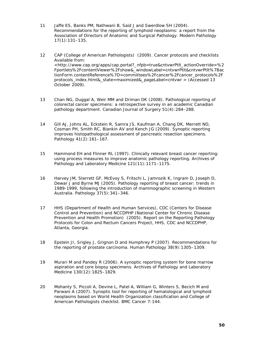- 11 Jaffe ES, Banks PM, Nathwani B, Said J and Swerdlow SH (2004). Recommendations for the reporting of lymphoid neoplasms: a report from the Association of Directors of Anatomic and Surgical Pathology. *Modern Pathology* 17(1):131–135.
- 12 CAP (College of American Pathologists) (2009). *Cancer protocols and checklists* Available from: <http://www.cap.org/apps/cap.portal?\_nfpb=true&cntvwrPtlt\_actionOverride=%2 Fportlets%2FcontentViewer%2Fshow&\_windowLabel=cntvwrPtlt&cntvwrPtlt%7Bac tionForm.contentReference%7D=committees%2Fcancer%2Fcancer\_protocols%2F protocols\_index.html&\_state=maximized&\_pageLabel=cntvwr > (Accessed 13 October 2009).
- 13 Chan NG, Duggal A, Weir MM and Driman DK (2008). Pathological reporting of colorectal cancer specimens: a retrospective survey in an academic Canadian pathology department. *Canadian Journal of Surgery* 51(4):284–288.
- 14 Gill AJ, Johns AL, Eckstein R, Samra JS, Kaufman A, Chang DK, Merrett ND, Cosman PH, Smith RC, Biankin AV and Kench JG (2009). Synoptic reporting improves histopathological assessment of pancreatic resection specimens. *Pathology* 41(2):161–167.
- 15 Hammond EH and Flinner RL (1997). Clinically relevant breast cancer reporting: using process measures to improve anatomic pathology reporting. *Archives of Pathology and Laboratory Medicine* 121(11):1171–1175.
- 16 Harvey JM, Sterrett GF, McEvoy S, Fritschi L, Jamrozik K, Ingram D, Joseph D, Dewar J and Byrne MJ (2005). Pathology reporting of breast cancer: trends in 1989-1999, following the introduction of mammographic screening in Western Australia. *Pathology* 37(5):341–346.
- 17 HHS (Department of Health and Human Services), CDC (Centers for Disease Control and Prevention) and NCCDPHP (National Center for Chronic Disease Prevention and Health Promotion) (2005). *Report on the Reporting Pathology Protocols for Colon and Rectum Cancers Project*, HHS, CDC and NCCDPHP, Atlanta, Georgia.
- 18 Epstein JI, Srigley J, Grignon D and Humphrey P (2007). Recommendations for the reporting of prostate carcinoma. *Human Pathology* 38(9):1305–1309.
- 19 Murari M and Pandey R (2006). A synoptic reporting system for bone marrow aspiration and core biopsy specimens. *Archives of Pathology and Laboratory Medicine* 130(12):1825–1829.
- 20 Mohanty S, Piccoli A, Devine L, Patel A, William G, Winters S, Becich M and Parwani A (2007). Synoptic tool for reporting of hematological and lymphoid neoplasms based on World Health Organization classification and College of American Pathologists checklist. *BMC Cancer* 7:144.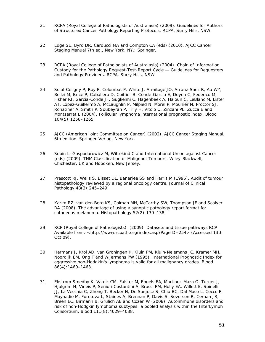- 21 RCPA (Royal College of Pathologists of Australasia) (2009). *Guidelines for Authors of Structured Cancer Pathology Reporting Protocols*. RCPA, Surry Hills, NSW.
- 22 Edge SE, Byrd DR, Carducci MA and Compton CA (eds) (2010). *AJCC Cancer Staging Manual 7th ed.*, New York, NY.: Springer.
- 23 RCPA (Royal College of Pathologists of Australasia) (2004). *Chain of Information Custody for the Pathology Request-Test-Report Cycle — Guidelines for Requesters and Pathology Providers*. RCPA, Surry Hills, NSW.
- 24 Solal-Celigny P, Roy P, Colombat P, White J, Armitage JO, Arranz-Saez R, Au WY, Bellei M, Brice P, Caballero D, Coiffier B, Conde-Garcia E, Doyen C, Federico M, Fisher RI, Garcia-Conde JF, Guglielmi C, Hagenbeek A, Haioun C, LeBlanc M, Lister AT, Lopez-Guillermo A, McLaughlin P, Milpied N, Morel P, Mounier N, Proctor SJ, Rohatiner A, Smith P, Soubeyran P, Tilly H, Vitolo U, Zinzani PL, Zucca E and Montserrat E (2004). Follicular lymphoma international prognostic index. *Blood* 104(5):1258–1265.
- 25 AJCC (American Joint Committee on Cancer) (2002). *AJCC Cancer Staging Manual, 6th edition*. Springer-Verlag, New York.
- 26 Sobin L, Gospodarowicz M, Wittekind C and International Union against Cancer (eds) (2009). *TNM Classification of Malignant Tumours*, Wiley-Blackwell, Chichester, UK and Hoboken, New Jersey.
- 27 Prescott RJ, Wells S, Bisset DL, Banerjee SS and Harris M (1995). Audit of tumour histopathology reviewed by a regional oncology centre. *Journal of Clinical Pathology* 48(3):245–249.
- 28 Karim RZ, van den Berg KS, Colman MH, McCarthy SW, Thompson JF and Scolyer RA (2008). The advantage of using a synoptic pathology report format for cutaneous melanoma. *Histopathology* 52(2):130–138.
- 29 RCP (Royal College of Pathologists) (2009). *Datasets and tissue pathways* RCP Available from: <http://www.rcpath.org/index.asp?PageID=254> (Accessed 13th Oct 09).
- 30 Hermans J, Krol AD, van Groningen K, Kluin PM, Kluin-Nelemans JC, Kramer MH, Noordijk EM, Ong F and Wijermans PW (1995). International Prognostic Index for aggressive non-Hodgkin's lymphoma is valid for all malignancy grades. *Blood* 86(4):1460–1463.
- 31 Ekstrom Smedby K, Vajdic CM, Falster M, Engels EA, Martinez-Maza O, Turner J, Hjalgrim H, Vineis P, Seniori Costantini A, Bracci PM, Holly EA, Willett E, Spinelli JJ, La Vecchia C, Zheng T, Becker N, De Sanjose S, Chiu BC, Dal Maso L, Cocco P, Maynadie M, Foretova L, Staines A, Brennan P, Davis S, Severson R, Cerhan JR, Breen EC, Birmann B, Grulich AE and Cozen W (2008). Autoimmune disorders and risk of non-Hodgkin lymphoma subtypes: a pooled analysis within the InterLymph Consortium. *Blood* 111(8):4029–4038.